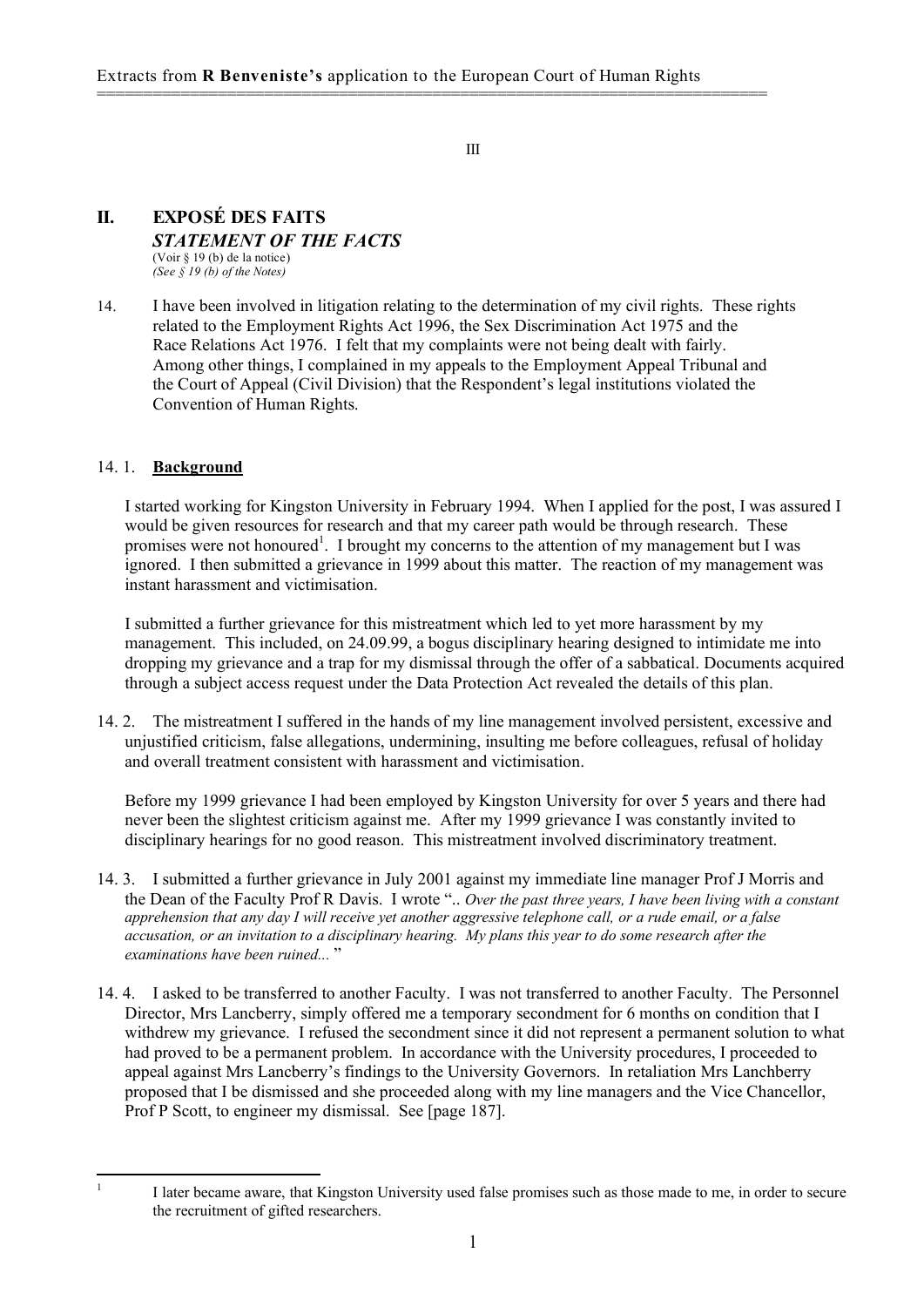========================================================================

III

#### **II. EXPOSÉ DES FAITS** *STATEMENT OF THE FACTS* (Voir § 19 (b) de la notice) *(See § 19 (b) of the Notes)*

14. I have been involved in litigation relating to the determination of my civil rights. These rights related to the Employment Rights Act 1996, the Sex Discrimination Act 1975 and the Race Relations Act 1976. I felt that my complaints were not being dealt with fairly. Among other things, I complained in my appeals to the Employment Appeal Tribunal and the Court of Appeal (Civil Division) that the Respondent's legal institutions violated the Convention of Human Rights.

# 14. 1. **Background**

I started working for Kingston University in February 1994. When I applied for the post, I was assured I would be given resources for research and that my career path would be through research. These promises were not honoured<sup>1</sup>. I brought my concerns to the attention of my management but I was ignored. I then submitted a grievance in 1999 about this matter. The reaction of my management was instant harassment and victimisation.

I submitted a further grievance for this mistreatment which led to yet more harassment by my management. This included, on 24.09.99, a bogus disciplinary hearing designed to intimidate me into dropping my grievance and a trap for my dismissal through the offer of a sabbatical. Documents acquired through a subject access request under the Data Protection Act revealed the details of this plan.

14. 2. The mistreatment I suffered in the hands of my line management involved persistent, excessive and unjustified criticism, false allegations, undermining, insulting me before colleagues, refusal of holiday and overall treatment consistent with harassment and victimisation.

Before my 1999 grievance I had been employed by Kingston University for over 5 years and there had never been the slightest criticism against me. After my 1999 grievance I was constantly invited to disciplinary hearings for no good reason. This mistreatment involved discriminatory treatment.

- 14. 3. I submitted a further grievance in July 2001 against my immediate line manager Prof J Morris and the Dean of the Faculty Prof R Davis. I wrote ".. *Over the past three years, I have been living with a constant* apprehension that any day I will receive yet another aggressive telephone call, or a rude email, or a false *accusation, or an invitation to a disciplinary hearing. My plans this year to do some research after the examinations have been ruined...* "
- 14. 4. I asked to be transferred to another Faculty. I was not transferred to another Faculty. The Personnel Director, Mrs Lancberry, simply offered me a temporary secondment for 6 months on condition that I withdrew my grievance. I refused the secondment since it did not represent a permanent solution to what had proved to be a permanent problem. In accordance with the University procedures, I proceeded to appeal against Mrs Lancberry's findings to the University Governors. In retaliation Mrs Lanchberry proposed that I be dismissed and she proceeded along with my line managers and the Vice Chancellor, Prof P Scott, to engineer my dismissal. See [page 187].

<sup>&</sup>lt;sup>1</sup> I later became aware, that Kingston University used false promises such as those made to me, in order to secure the recruitment of gifted researchers.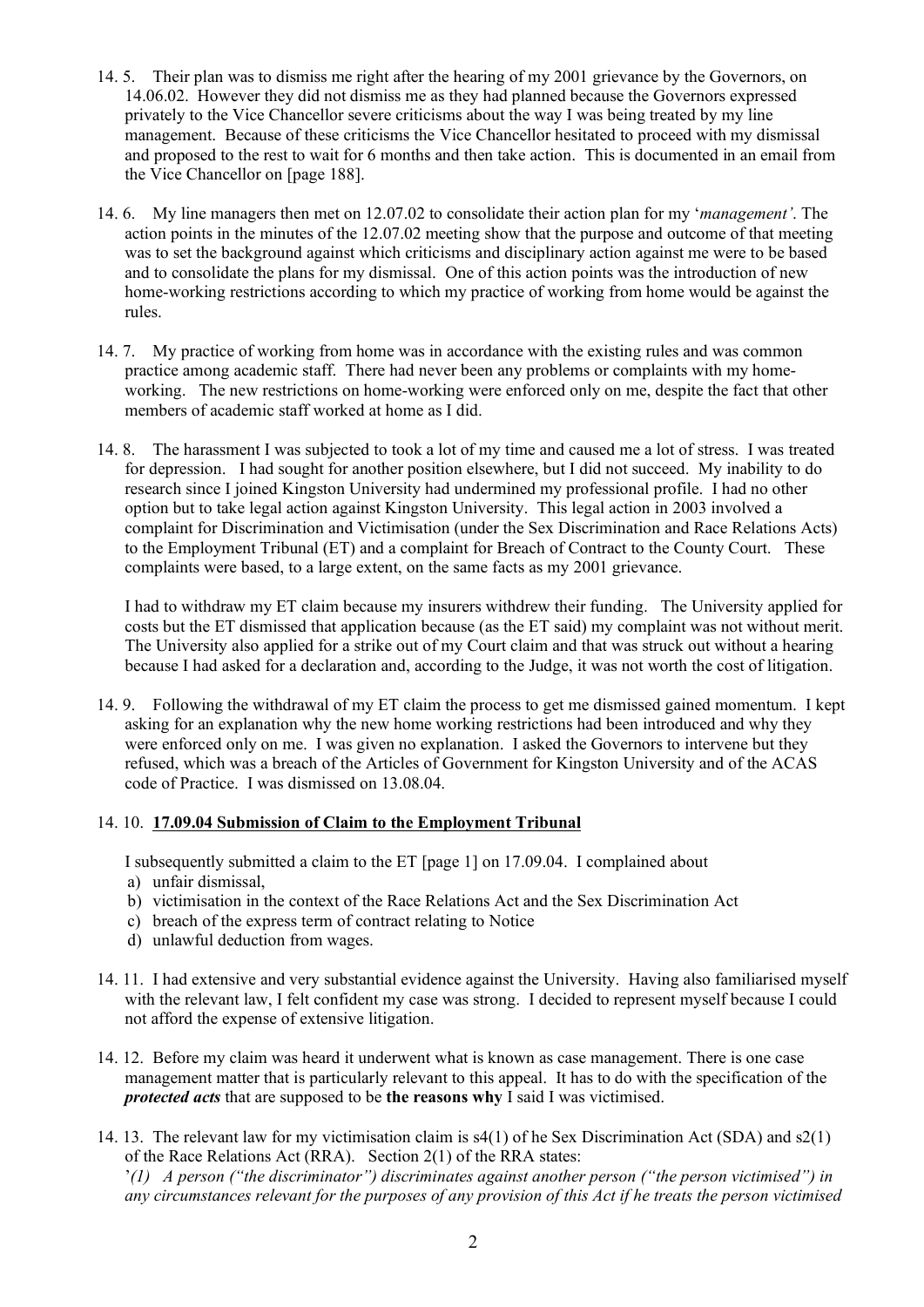- 14. 5. Their plan was to dismiss me right after the hearing of my 2001 grievance by the Governors, on 14.06.02. However they did not dismiss me as they had planned because the Governors expressed privately to the Vice Chancellor severe criticisms about the way I was being treated by my line management. Because of these criticisms the Vice Chancellor hesitated to proceed with my dismissal and proposed to the rest to wait for 6 months and then take action. This is documented in an email from the Vice Chancellor on [page 188].
- 14. 6. My line managers then met on 12.07.02 to consolidate their action plan for my '*management'*. The action points in the minutes of the 12.07.02 meeting show that the purpose and outcome of that meeting was to set the background against which criticisms and disciplinary action against me were to be based and to consolidate the plans for my dismissal. One of this action points was the introduction of new home-working restrictions according to which my practice of working from home would be against the rules.
- 14. 7. My practice of working from home was in accordance with the existing rules and was common practice among academic staff. There had never been any problems or complaints with my homeworking. The new restrictions on home-working were enforced only on me, despite the fact that other members of academic staff worked at home as I did.
- 14. 8. The harassment I was subjected to took a lot of my time and caused me a lot of stress. I was treated for depression. I had sought for another position elsewhere, but I did not succeed. My inability to do research since I joined Kingston University had undermined my professional profile. I had no other option but to take legal action against Kingston University. This legal action in 2003 involved a complaint for Discrimination and Victimisation (under the Sex Discrimination and Race Relations Acts) to the Employment Tribunal (ET) and a complaint for Breach of Contract to the County Court. These complaints were based, to a large extent, on the same facts as my 2001 grievance.

I had to withdraw my ET claim because my insurers withdrew their funding. The University applied for costs but the ET dismissed that application because (as the ET said) my complaint was not without merit. The University also applied for a strike out of my Court claim and that was struck out without a hearing because I had asked for a declaration and, according to the Judge, it was not worth the cost of litigation.

14. 9. Following the withdrawal of my ET claim the process to get me dismissed gained momentum. I kept asking for an explanation why the new home working restrictions had been introduced and why they were enforced only on me. I was given no explanation. I asked the Governors to intervene but they refused, which was a breach of the Articles of Government for Kingston University and of the ACAS code of Practice. I was dismissed on 13.08.04.

## 14. 10. **17.09.04 Submission of Claim to the Employment Tribunal**

I subsequently submitted a claim to the ET [page 1] on 17.09.04. I complained about

- a) unfair dismissal,
- b) victimisation in the context of the Race Relations Act and the Sex Discrimination Act
- c) breach of the express term of contract relating to Notice
- d) unlawful deduction from wages.
- 14. 11. I had extensive and very substantial evidence against the University. Having also familiarised myself with the relevant law, I felt confident my case was strong. I decided to represent myself because I could not afford the expense of extensive litigation.
- 14. 12. Before my claim was heard it underwent what is known as case management. There is one case management matter that is particularly relevant to this appeal. It has to do with the specification of the *protected acts* that are supposed to be **the reasons why** I said I was victimised.
- 14. 13. The relevant law for my victimisation claim is s4(1) of he Sex Discrimination Act (SDA) and s2(1) of the Race Relations Act (RRA). Section 2(1) of the RRA states: '*(1) A person ("the discriminator") discriminates against another person ("the person victimised") in* any circumstances relevant for the purposes of any provision of this Act if he treats the person victimised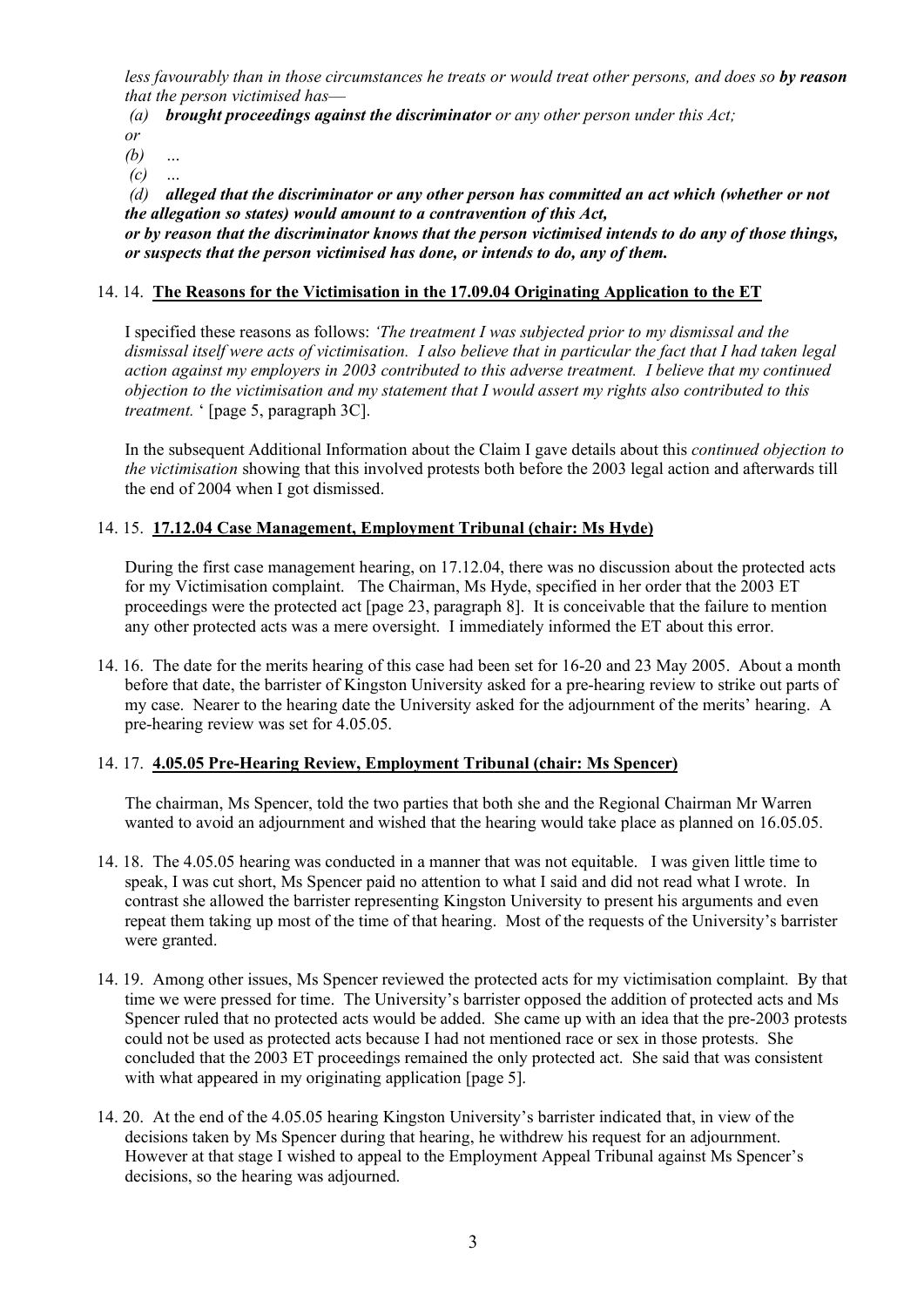less favourably than in those circumstances he treats or would treat other persons, and does so by reason *that the person victimised has*—

*(a) brought proceedings against the discriminator or any other person under this Act; or*

*(b) …*

*(c) …*

*(d) alleged that the discriminator or any other person has committed an act which (whether or not the allegation so states) would amount to a contravention of this Act,*

or by reason that the discriminator knows that the person victimised intends to do any of those things. *or suspects that the person victimised has done, or intends to do, any of them.*

## 14. 14. **The Reasons for the Victimisation in the 17.09.04 Originating Application to the ET**

I specified these reasons as follows: *'The treatment I was subjected prior to my dismissal and the* dismissal itself were acts of victimisation. I also believe that in particular the fact that I had taken legal *action against my employers in 2003 contributed to this adverse treatment. I believe that my continued objection to the victimisation and my statement that I would assert my rights also contributed to this treatment.* ' [page 5, paragraph 3C].

In the subsequent Additional Information about the Claim I gave details about this *continued objection to the victimisation* showing that this involved protests both before the 2003 legal action and afterwards till the end of 2004 when I got dismissed.

### 14. 15. **17.12.04 Case Management, Employment Tribunal (chair: Ms Hyde)**

During the first case management hearing, on 17.12.04, there was no discussion about the protected acts for my Victimisation complaint. The Chairman, Ms Hyde, specified in her order that the 2003 ET proceedings were the protected act [page 23, paragraph 8]. It is conceivable that the failure to mention any other protected acts was a mere oversight. I immediately informed the ET about this error.

14. 16. The date for the merits hearing of this case had been set for 16-20 and 23 May 2005. About a month before that date, the barrister of Kingston University asked for a pre-hearing review to strike out parts of my case. Nearer to the hearing date the University asked for the adjournment of the merits' hearing. A pre-hearing review was set for 4.05.05.

#### 14. 17. **4.05.05 Pre-Hearing Review, Employment Tribunal (chair: Ms Spencer)**

The chairman, Ms Spencer, told the two parties that both she and the Regional Chairman Mr Warren wanted to avoid an adjournment and wished that the hearing would take place as planned on 16.05.05.

- 14. 18. The 4.05.05 hearing was conducted in a manner that was not equitable. I was given little time to speak, I was cut short, Ms Spencer paid no attention to what I said and did not read what I wrote. In contrast she allowed the barrister representing Kingston University to present his arguments and even repeat them taking up most of the time of that hearing. Most of the requests of the University's barrister were granted.
- 14. 19. Among other issues, Ms Spencer reviewed the protected acts for my victimisation complaint. By that time we were pressed for time. The University's barrister opposed the addition of protected acts and Ms Spencer ruled that no protected acts would be added. She came up with an idea that the pre-2003 protests could not be used as protected acts because I had not mentioned race or sex in those protests. She concluded that the 2003 ET proceedings remained the only protected act. She said that was consistent with what appeared in my originating application [page 5].
- 14. 20. At the end of the 4.05.05 hearing Kingston University's barrister indicated that, in view of the decisions taken by Ms Spencer during that hearing, he withdrew his request for an adjournment. However at that stage I wished to appeal to the Employment Appeal Tribunal against Ms Spencer's decisions, so the hearing was adjourned.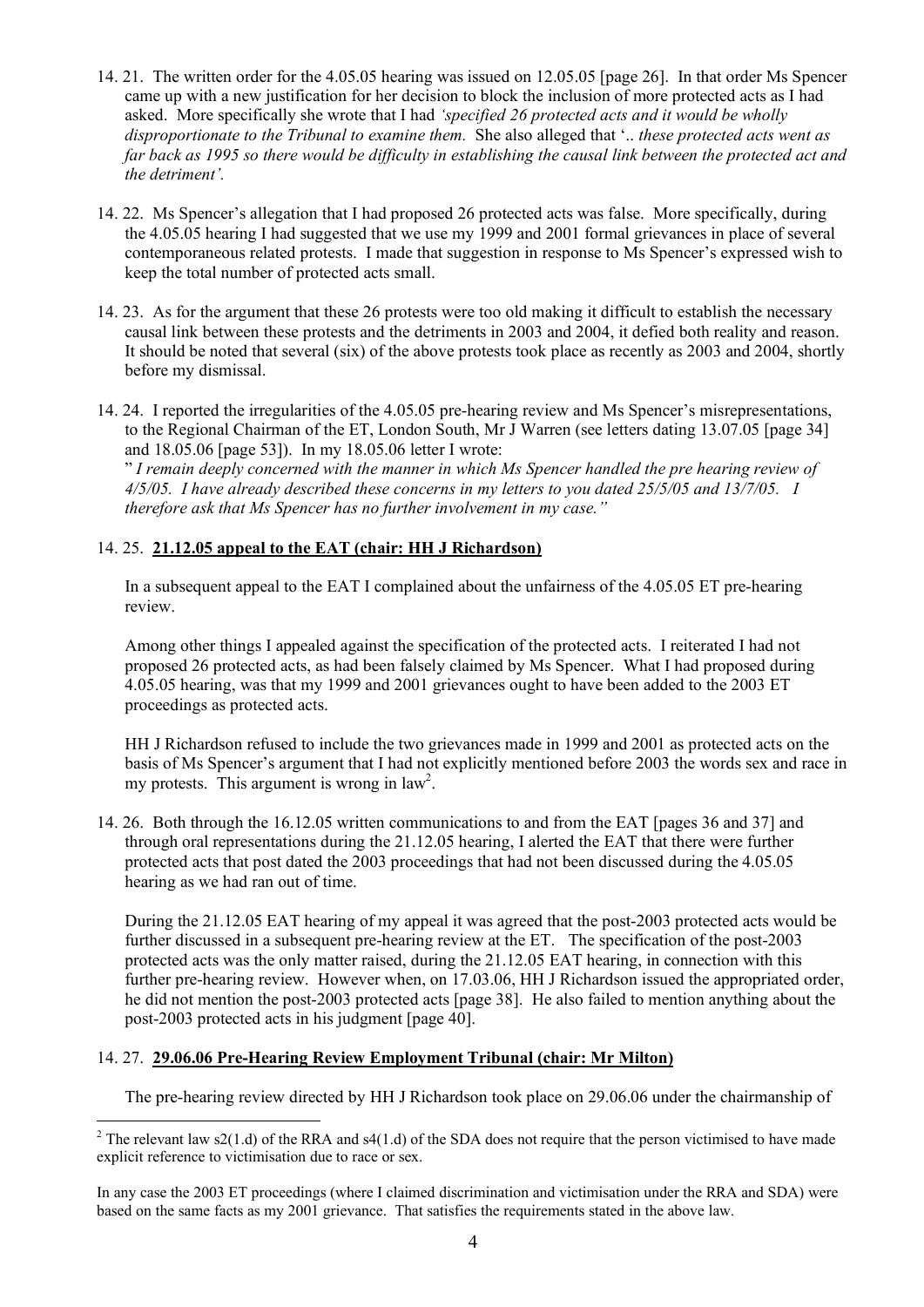- 14. 21. The written order for the 4.05.05 hearing was issued on 12.05.05 [page 26]. In that order Ms Spencer came up with a new justification for her decision to block the inclusion of more protected acts as I had asked. More specifically she wrote that I had *'specified 26 protected acts and it would be wholly disproportionate to the Tribunal to examine them.* She also alleged that '.. *these protected acts went as* far back as 1995 so there would be difficulty in establishing the causal link between the protected act and *the detriment'.*
- 14. 22. Ms Spencer's allegation that I had proposed 26 protected acts was false. More specifically, during the 4.05.05 hearing I had suggested that we use my 1999 and 2001 formal grievances in place of several contemporaneous related protests. I made that suggestion in response to Ms Spencer's expressed wish to keep the total number of protected acts small.
- 14. 23. As for the argument that these 26 protests were too old making it difficult to establish the necessary causal link between these protests and the detriments in 2003 and 2004, it defied both reality and reason. It should be noted that several (six) of the above protests took place as recently as 2003 and 2004, shortly before my dismissal.
- 14. 24. I reported the irregularities of the 4.05.05 pre-hearing review and Ms Spencer's misrepresentations, to the Regional Chairman of the ET, London South, Mr J Warren (see letters dating 13.07.05 [page 34] and 18.05.06 [page 53]). In my 18.05.06 letter I wrote:

" *I remain deeply concerned with the manner in which Ms Spencer handled the pre hearing review of 4/5/05. I have already described these concerns in my letters to you dated 25/5/05 and 13/7/05. I therefore ask that Ms Spencer has no further involvement in my case."*

# 14. 25. **21.12.05 appeal to the EAT (chair: HH J Richardson)**

In a subsequent appeal to the EAT I complained about the unfairness of the 4.05.05 ET pre-hearing review.

Among other things I appealed against the specification of the protected acts. I reiterated I had not proposed 26 protected acts, as had been falsely claimed by Ms Spencer. What I had proposed during 4.05.05 hearing, was that my 1999 and 2001 grievances ought to have been added to the 2003 ET proceedings as protected acts.

HH J Richardson refused to include the two grievances made in 1999 and 2001 as protected acts on the basis of Ms Spencer's argument that I had not explicitly mentioned before 2003 the words sex and race in my protests. This argument is wrong in  $law<sup>2</sup>$ .

14. 26. Both through the 16.12.05 written communications to and from the EAT [pages 36 and 37] and through oral representations during the 21.12.05 hearing, I alerted the EAT that there were further protected acts that post dated the 2003 proceedings that had not been discussed during the 4.05.05 hearing as we had ran out of time.

During the 21.12.05 EAT hearing of my appeal it was agreed that the post-2003 protected acts would be further discussed in a subsequent pre-hearing review at the ET. The specification of the post-2003 protected acts was the only matter raised, during the 21.12.05 EAT hearing, in connection with this further pre-hearing review. However when, on 17.03.06, HH J Richardson issued the appropriated order, he did not mention the post-2003 protected acts [page 38]. He also failed to mention anything about the post-2003 protected acts in his judgment [page 40].

## 14. 27. **29.06.06 Pre-Hearing Review Employment Tribunal (chair: Mr Milton)**

The pre-hearing review directed by HH J Richardson took place on 29.06.06 under the chairmanship of

 $2$  The relevant law s2(1.d) of the RRA and s4(1.d) of the SDA does not require that the person victimised to have made explicit reference to victimisation due to race or sex.

In any case the 2003 ET proceedings (where I claimed discrimination and victimisation under the RRA and SDA) were based on the same facts as my 2001 grievance. That satisfies the requirements stated in the above law.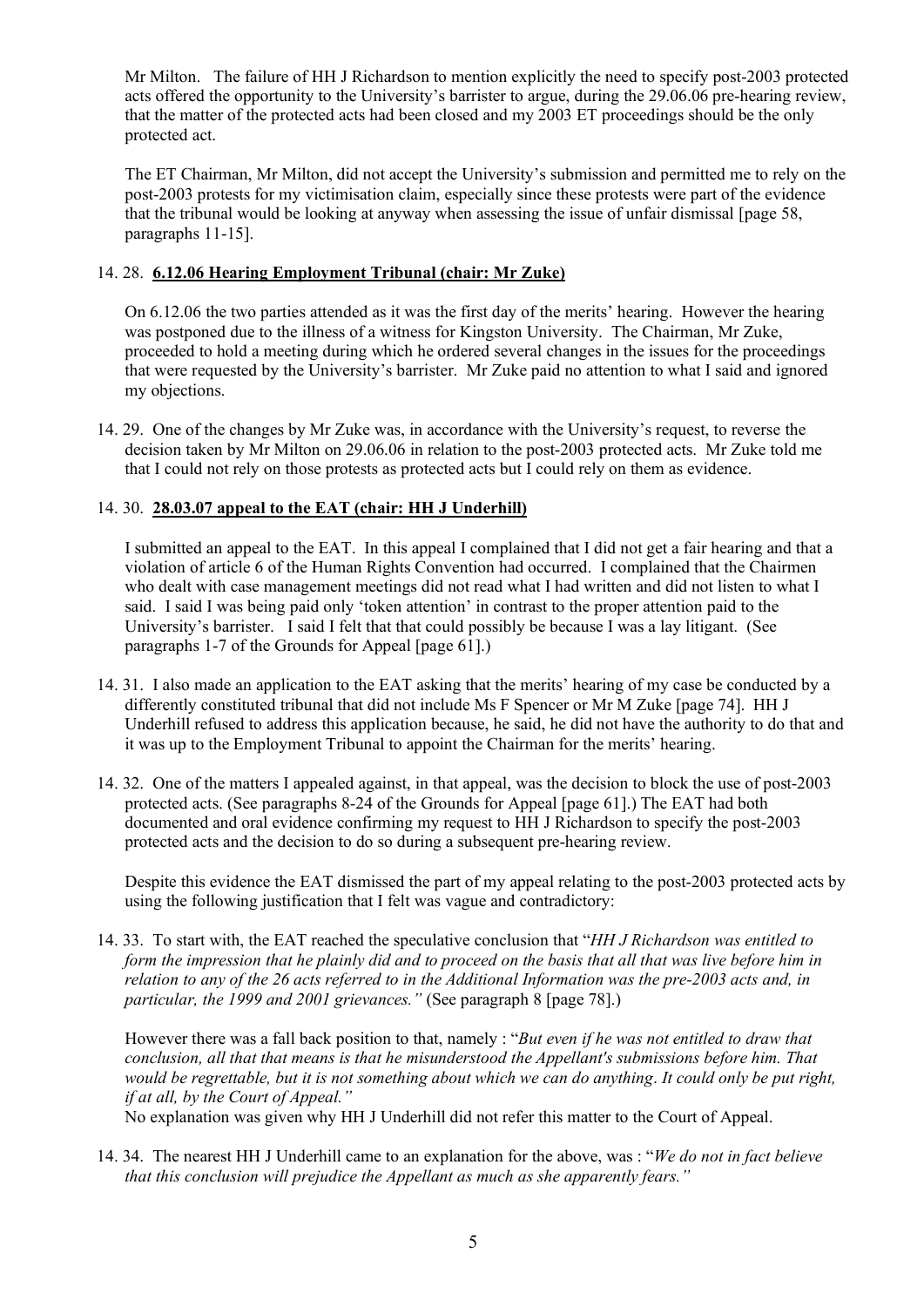Mr Milton. The failure of HH J Richardson to mention explicitly the need to specify post-2003 protected acts offered the opportunity to the University's barrister to argue, during the 29.06.06 pre-hearing review, that the matter of the protected acts had been closed and my 2003 ET proceedings should be the only protected act.

The ET Chairman, Mr Milton, did not accept the University's submission and permitted me to rely on the post-2003 protests for my victimisation claim, especially since these protests were part of the evidence that the tribunal would be looking at anyway when assessing the issue of unfair dismissal [page 58, paragraphs 11-15].

### 14. 28. **6.12.06 Hearing Employment Tribunal (chair: Mr Zuke)**

On 6.12.06 the two parties attended as it was the first day of the merits' hearing. However the hearing was postponed due to the illness of a witness for Kingston University. The Chairman, Mr Zuke, proceeded to hold a meeting during which he ordered several changes in the issues for the proceedings that were requested by the University's barrister. Mr Zuke paid no attention to what I said and ignored my objections.

14. 29. One of the changes by Mr Zuke was, in accordance with the University's request, to reverse the decision taken by Mr Milton on 29.06.06 in relation to the post-2003 protected acts. Mr Zuke told me that I could not rely on those protests as protected acts but I could rely on them as evidence.

### 14. 30. **28.03.07 appeal to the EAT (chair: HH J Underhill)**

I submitted an appeal to the EAT. In this appeal I complained that I did not get a fair hearing and that a violation of article 6 of the Human Rights Convention had occurred. I complained that the Chairmen who dealt with case management meetings did not read what I had written and did not listen to what I said. I said I was being paid only 'token attention' in contrast to the proper attention paid to the University's barrister. I said I felt that that could possibly be because I was a lay litigant. (See paragraphs 1-7 of the Grounds for Appeal [page 61].)

- 14. 31. I also made an application to the EAT asking that the merits' hearing of my case be conducted by a differently constituted tribunal that did not include Ms F Spencer or Mr M Zuke [page 74]. HH J Underhill refused to address this application because, he said, he did not have the authority to do that and it was up to the Employment Tribunal to appoint the Chairman for the merits' hearing.
- 14. 32. One of the matters I appealed against, in that appeal, was the decision to block the use of post-2003 protected acts. (See paragraphs 8-24 of the Grounds for Appeal [page 61].) The EAT had both documented and oral evidence confirming my request to HH J Richardson to specify the post-2003 protected acts and the decision to do so during a subsequent pre-hearing review.

Despite this evidence the EAT dismissed the part of my appeal relating to the post-2003 protected acts by using the following justification that I felt was vague and contradictory:

14. 33. To start with, the EAT reached the speculative conclusion that "*HH J Richardson was entitled to* form the impression that he plainly did and to proceed on the basis that all that was live before him in relation to any of the 26 acts referred to in the Additional Information was the pre-2003 acts and, in *particular, the 1999 and 2001 grievances."* (See paragraph 8 [page 78].)

However there was a fall back position to that, namely : "*But even if he was not entitled to draw that conclusion, all that that means is that he misunderstood the Appellant's submissions before him. That* would be regrettable, but it is not something about which we can do anything. It could only be put right, *if at all, by the Court of Appeal."*

No explanation was given why HH J Underhill did not refer this matter to the Court of Appeal.

14. 34. The nearest HH J Underhill came to an explanation for the above, was : "*We do not in fact believe that this conclusion will prejudice the Appellant as much as she apparently fears."*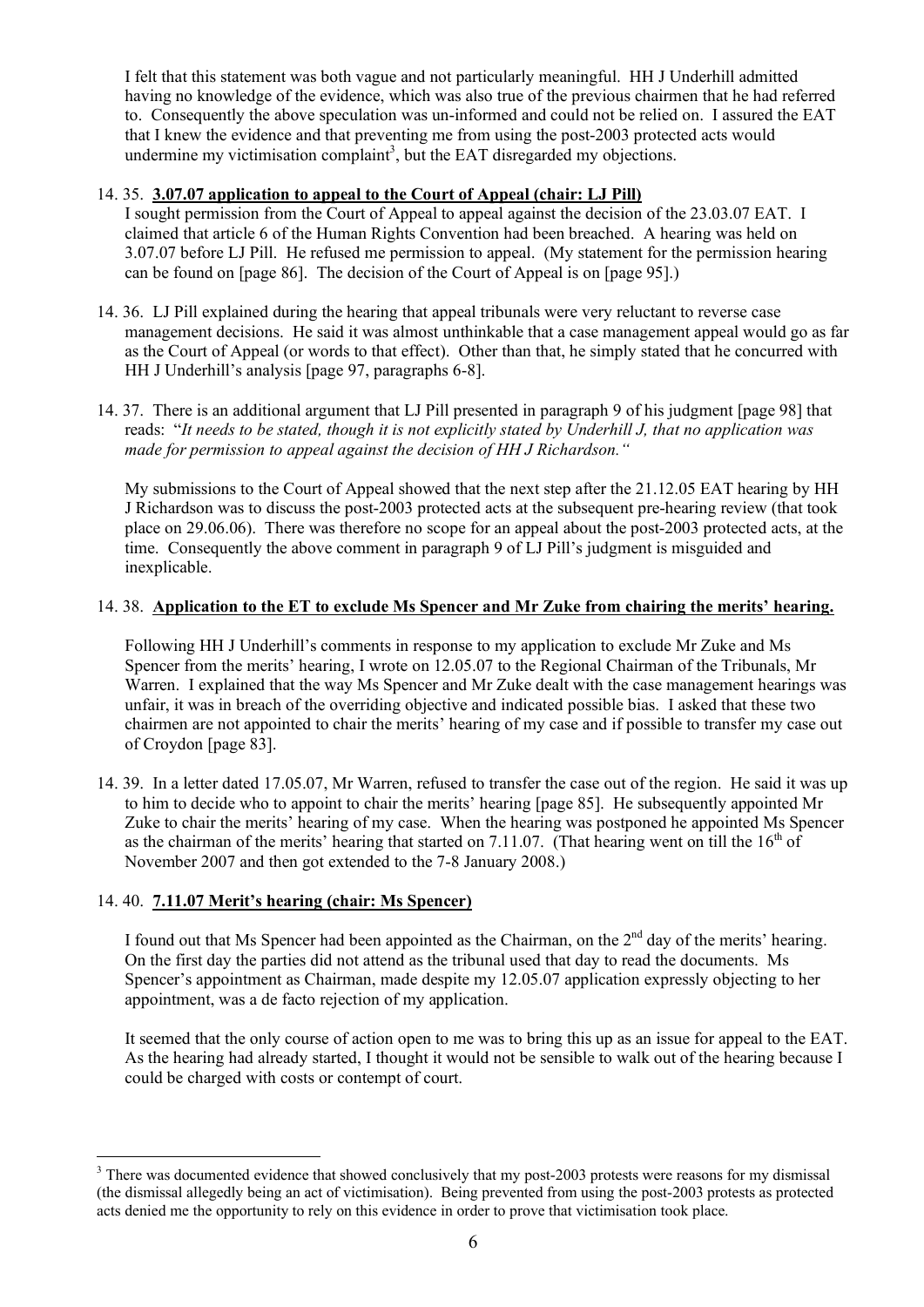I felt that this statement was both vague and not particularly meaningful. HH J Underhill admitted having no knowledge of the evidence, which was also true of the previous chairmen that he had referred to. Consequently the above speculation was un-informed and could not be relied on. I assured the EAT that I knew the evidence and that preventing me from using the post-2003 protected acts would undermine my victimisation complaint<sup>3</sup>, but the EAT disregarded my objections.

## 14. 35. **3.07.07 application to appeal to the Court of Appeal (chair: LJ Pill)**

- I sought permission from the Court of Appeal to appeal against the decision of the 23.03.07 EAT. I claimed that article 6 of the Human Rights Convention had been breached. A hearing was held on 3.07.07 before LJ Pill. He refused me permission to appeal. (My statement for the permission hearing can be found on [page 86]. The decision of the Court of Appeal is on [page 95].)
- 14. 36. LJ Pill explained during the hearing that appeal tribunals were very reluctant to reverse case management decisions. He said it was almost unthinkable that a case management appeal would go as far as the Court of Appeal (or words to that effect). Other than that, he simply stated that he concurred with HH J Underhill's analysis [page 97, paragraphs 6-8].
- 14. 37. There is an additional argument that LJ Pill presented in paragraph 9 of his judgment [page 98] that reads: "It needs to be stated, though it is not explicitly stated by Underhill J, that no application was *made for permission to appeal against the decision of HH J Richardson."*

My submissions to the Court of Appeal showed that the next step after the 21.12.05 EAT hearing by HH J Richardson was to discuss the post-2003 protected acts at the subsequent pre-hearing review (that took place on 29.06.06). There was therefore no scope for an appeal about the post-2003 protected acts, at the time. Consequently the above comment in paragraph 9 of LJ Pill's judgment is misguided and inexplicable.

# 14. 38. **Application to the ET to exclude Ms Spencer and Mr Zuke from chairing the merits' hearing.**

Following HH J Underhill's comments in response to my application to exclude Mr Zuke and Ms Spencer from the merits' hearing, I wrote on 12.05.07 to the Regional Chairman of the Tribunals, Mr Warren. I explained that the way Ms Spencer and Mr Zuke dealt with the case management hearings was unfair, it was in breach of the overriding objective and indicated possible bias. I asked that these two chairmen are not appointed to chair the merits' hearing of my case and if possible to transfer my case out of Croydon [page 83].

14. 39. In a letter dated 17.05.07, Mr Warren, refused to transfer the case out of the region. He said it was up to him to decide who to appoint to chair the merits' hearing [page 85]. He subsequently appointed Mr Zuke to chair the merits' hearing of my case. When the hearing was postponed he appointed Ms Spencer as the chairman of the merits' hearing that started on 7.11.07. (That hearing went on till the  $16<sup>th</sup>$  of November 2007 and then got extended to the 7-8 January 2008.)

## 14. 40. **7.11.07 Merit's hearing (chair: Ms Spencer)**

I found out that Ms Spencer had been appointed as the Chairman, on the  $2<sup>nd</sup>$  day of the merits' hearing. On the first day the parties did not attend as the tribunal used that day to read the documents. Ms Spencer's appointment as Chairman, made despite my 12.05.07 application expressly objecting to her appointment, was a de facto rejection of my application.

It seemed that the only course of action open to me was to bring this up as an issue for appeal to the EAT. As the hearing had already started, I thought it would not be sensible to walk out of the hearing because I could be charged with costs or contempt of court.

<sup>&</sup>lt;sup>3</sup> There was documented evidence that showed conclusively that my post-2003 protests were reasons for my dismissal (the dismissal allegedly being an act of victimisation). Being prevented from using the post-2003 protests as protected acts denied me the opportunity to rely on this evidence in order to prove that victimisation took place.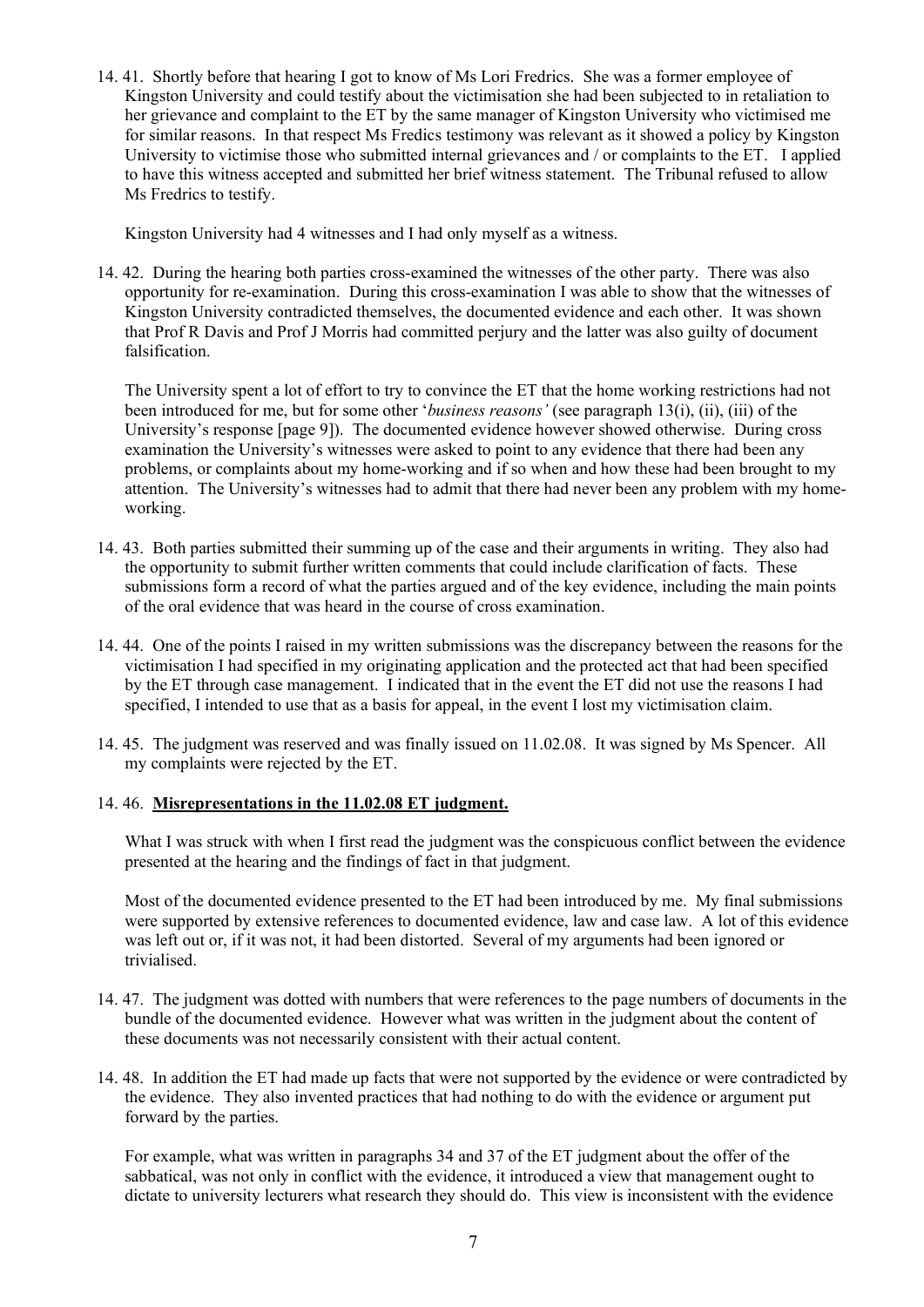14. 41. Shortly before that hearing I got to know of Ms Lori Fredrics. She was a former employee of Kingston University and could testify about the victimisation she had been subjected to in retaliation to her grievance and complaint to the ET by the same manager of Kingston University who victimised me for similar reasons. In that respect Ms Fredics testimony was relevant as it showed a policy by Kingston University to victimise those who submitted internal grievances and / or complaints to the ET. I applied to have this witness accepted and submitted her brief witness statement. The Tribunal refused to allow Ms Fredrics to testify.

Kingston University had 4 witnesses and I had only myself as a witness.

14. 42. During the hearing both parties cross-examined the witnesses of the other party. There was also opportunity for re-examination. During this cross-examination I was able to show that the witnesses of Kingston University contradicted themselves, the documented evidence and each other. It was shown that Prof R Davis and Prof J Morris had committed perjury and the latter was also guilty of document falsification.

The University spent a lot of effort to try to convince the ET that the home working restrictions had not been introduced for me, but for some other '*business reasons'* (see paragraph 13(i), (ii), (iii) of the University's response [page 9]). The documented evidence however showed otherwise. During cross examination the University's witnesses were asked to point to any evidence that there had been any problems, or complaints about my home-working and if so when and how these had been brought to my attention. The University's witnesses had to admit that there had never been any problem with my homeworking.

- 14. 43. Both parties submitted their summing up of the case and their arguments in writing. They also had the opportunity to submit further written comments that could include clarification of facts. These submissions form a record of what the parties argued and of the key evidence, including the main points of the oral evidence that was heard in the course of cross examination.
- 14. 44. One of the points I raised in my written submissions was the discrepancy between the reasons for the victimisation I had specified in my originating application and the protected act that had been specified by the ET through case management. I indicated that in the event the ET did not use the reasons I had specified, I intended to use that as a basis for appeal, in the event I lost my victimisation claim.
- 14. 45. The judgment was reserved and was finally issued on 11.02.08. It was signed by Ms Spencer. All my complaints were rejected by the ET.

## 14. 46. **Misrepresentations in the 11.02.08 ET judgment.**

What I was struck with when I first read the judgment was the conspicuous conflict between the evidence presented at the hearing and the findings of fact in that judgment.

Most of the documented evidence presented to the ET had been introduced by me. My final submissions were supported by extensive references to documented evidence, law and case law. A lot of this evidence was left out or, if it was not, it had been distorted. Several of my arguments had been ignored or trivialised.

- 14. 47. The judgment was dotted with numbers that were references to the page numbers of documents in the bundle of the documented evidence. However what was written in the judgment about the content of these documents was not necessarily consistent with their actual content.
- 14. 48. In addition the ET had made up facts that were not supported by the evidence or were contradicted by the evidence. They also invented practices that had nothing to do with the evidence or argument put forward by the parties.

For example, what was written in paragraphs 34 and 37 of the ET judgment about the offer of the sabbatical, was not only in conflict with the evidence, it introduced a view that management ought to dictate to university lecturers what research they should do. This view is inconsistent with the evidence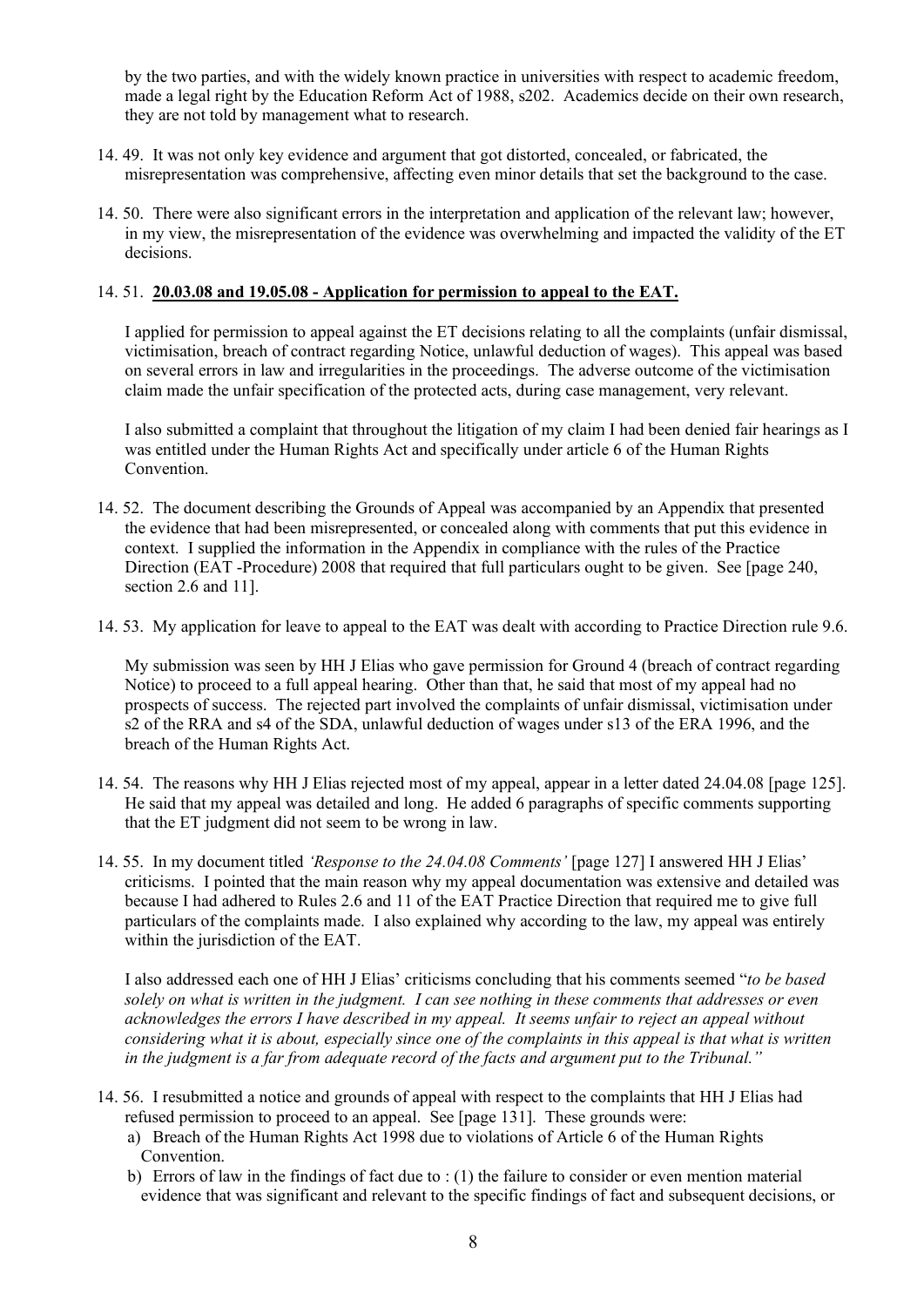by the two parties, and with the widely known practice in universities with respect to academic freedom, made a legal right by the Education Reform Act of 1988, s202. Academics decide on their own research, they are not told by management what to research.

- 14. 49. It was not only key evidence and argument that got distorted, concealed, or fabricated, the misrepresentation was comprehensive, affecting even minor details that set the background to the case.
- 14. 50. There were also significant errors in the interpretation and application of the relevant law; however, in my view, the misrepresentation of the evidence was overwhelming and impacted the validity of the ET decisions.

#### 14. 51. **20.03.08 and 19.05.08 - Application for permission to appeal to the EAT.**

I applied for permission to appeal against the ET decisions relating to all the complaints (unfair dismissal, victimisation, breach of contract regarding Notice, unlawful deduction of wages). This appeal was based on several errors in law and irregularities in the proceedings. The adverse outcome of the victimisation claim made the unfair specification of the protected acts, during case management, very relevant.

I also submitted a complaint that throughout the litigation of my claim I had been denied fair hearings as I was entitled under the Human Rights Act and specifically under article 6 of the Human Rights Convention.

- 14. 52. The document describing the Grounds of Appeal was accompanied by an Appendix that presented the evidence that had been misrepresented, or concealed along with comments that put this evidence in context. I supplied the information in the Appendix in compliance with the rules of the Practice Direction (EAT -Procedure) 2008 that required that full particulars ought to be given. See [page 240, section 2.6 and 11].
- 14. 53. My application for leave to appeal to the EAT was dealt with according to Practice Direction rule 9.6.

My submission was seen by HH J Elias who gave permission for Ground 4 (breach of contract regarding Notice) to proceed to a full appeal hearing. Other than that, he said that most of my appeal had no prospects of success. The rejected part involved the complaints of unfair dismissal, victimisation under s2 of the RRA and s4 of the SDA, unlawful deduction of wages under s13 of the ERA 1996, and the breach of the Human Rights Act.

- 14. 54. The reasons why HH J Elias rejected most of my appeal, appear in a letter dated 24.04.08 [page 125]. He said that my appeal was detailed and long. He added 6 paragraphs of specific comments supporting that the ET judgment did not seem to be wrong in law.
- 14. 55. In my document titled *'Response to the 24.04.08 Comments'* [page 127] I answered HH J Elias' criticisms. I pointed that the main reason why my appeal documentation was extensive and detailed was because I had adhered to Rules 2.6 and 11 of the EAT Practice Direction that required me to give full particulars of the complaints made. I also explained why according to the law, my appeal was entirely within the jurisdiction of the EAT.

I also addressed each one of HH J Elias' criticisms concluding that his comments seemed "*to be based* solely on what is written in the judgment. I can see nothing in these comments that addresses or even *acknowledges the errors I have described in my appeal. It seems unfair to reject an appeal without* considering what it is about, especially since one of the complaints in this appeal is that what is written *in the judgment is a far from adequate record of the facts and argument put to the Tribunal."*

- 14. 56. I resubmitted a notice and grounds of appeal with respect to the complaints that HH J Elias had refused permission to proceed to an appeal. See [page 131]. These grounds were:
	- a) Breach of the Human Rights Act 1998 due to violations of Article 6 of the Human Rights Convention.
	- b) Errors of law in the findings of fact due to : (1) the failure to consider or even mention material evidence that was significant and relevant to the specific findings of fact and subsequent decisions, or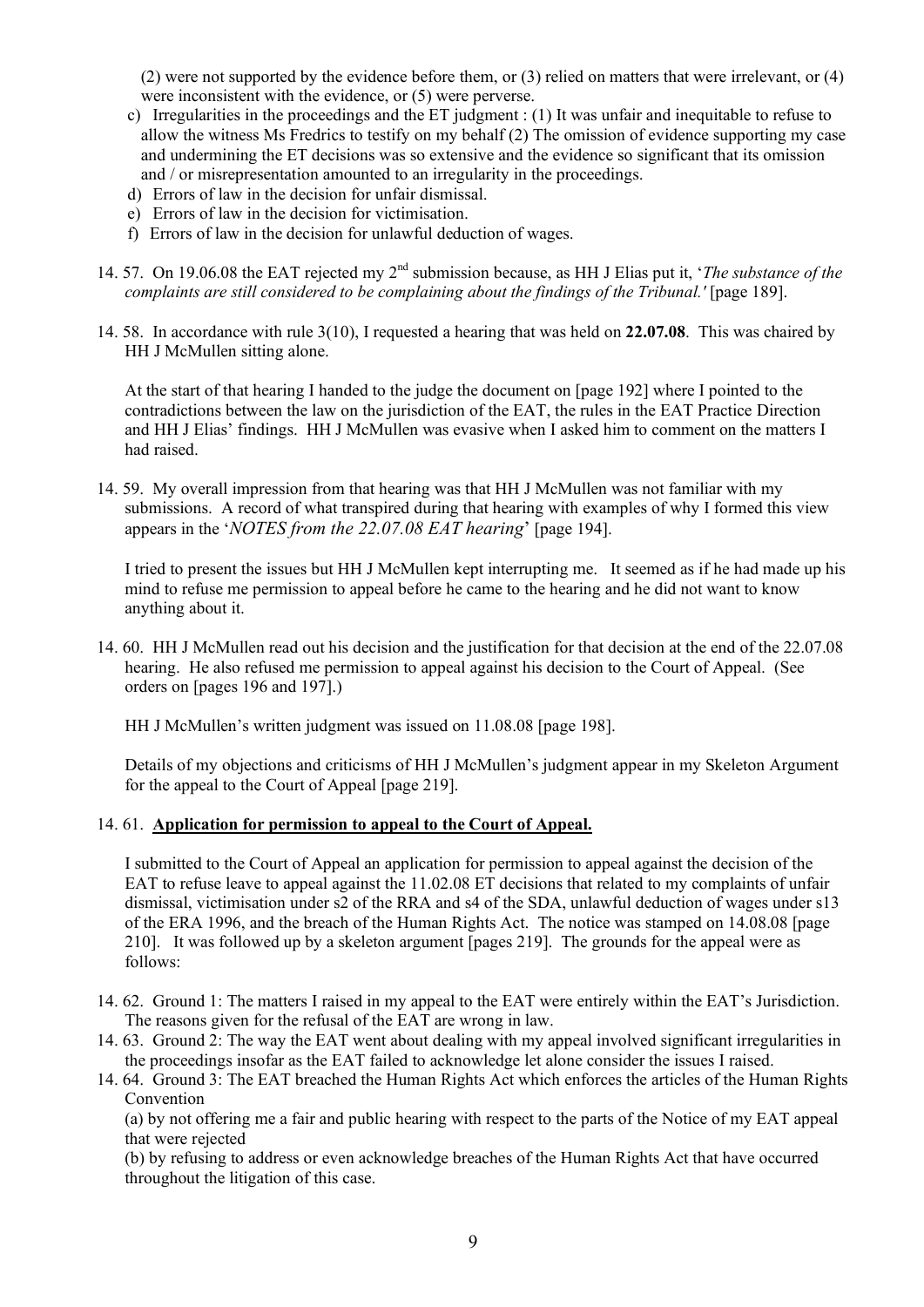(2) were not supported by the evidence before them, or (3) relied on matters that were irrelevant, or (4) were inconsistent with the evidence, or (5) were perverse.

- c) Irregularities in the proceedings and the ET judgment : (1) It was unfair and inequitable to refuse to allow the witness Ms Fredrics to testify on my behalf (2) The omission of evidence supporting my case and undermining the ET decisions was so extensive and the evidence so significant that its omission and / or misrepresentation amounted to an irregularity in the proceedings.
- d) Errors of law in the decision for unfair dismissal.
- e) Errors of law in the decision for victimisation.
- f) Errors of law in the decision for unlawful deduction of wages.
- 14. 57. On 19.06.08 the EAT rejected my 2nd submission because, as HH J Elias put it, '*The substance of the complaints are still considered to be complaining about the findings of the Tribunal.'* [page 189].
- 14. 58. In accordance with rule 3(10), I requested a hearing that was held on **22.07.08**. This was chaired by HH J McMullen sitting alone.

At the start of that hearing I handed to the judge the document on [page 192] where I pointed to the contradictions between the law on the jurisdiction of the EAT, the rules in the EAT Practice Direction and HH J Elias' findings. HH J McMullen was evasive when I asked him to comment on the matters I had raised.

14. 59. My overall impression from that hearing was that HH J McMullen was not familiar with my submissions. A record of what transpired during that hearing with examples of why I formed this view appears in the '*NOTES from the 22.07.08 EAT hearing*' [page 194].

I tried to present the issues but HH J McMullen kept interrupting me. It seemed as if he had made up his mind to refuse me permission to appeal before he came to the hearing and he did not want to know anything about it.

14. 60. HH J McMullen read out his decision and the justification for that decision at the end of the 22.07.08 hearing. He also refused me permission to appeal against his decision to the Court of Appeal. (See orders on [pages 196 and 197].)

HH J McMullen's written judgment was issued on 11.08.08 [page 198].

Details of my objections and criticisms of HH J McMullen's judgment appear in my Skeleton Argument for the appeal to the Court of Appeal [page 219].

### 14. 61. **Application for permission to appeal to the Court of Appeal.**

I submitted to the Court of Appeal an application for permission to appeal against the decision of the EAT to refuse leave to appeal against the 11.02.08 ET decisions that related to my complaints of unfair dismissal, victimisation under s2 of the RRA and s4 of the SDA, unlawful deduction of wages under s13 of the ERA 1996, and the breach of the Human Rights Act. The notice was stamped on 14.08.08 [page 210]. It was followed up by a skeleton argument [pages 219]. The grounds for the appeal were as follows:

- 14. 62. Ground 1: The matters I raised in my appeal to the EAT were entirely within the EAT's Jurisdiction. The reasons given for the refusal of the EAT are wrong in law.
- 14. 63. Ground 2: The way the EAT went about dealing with my appeal involved significant irregularities in the proceedings insofar as the EAT failed to acknowledge let alone consider the issues I raised.
- 14. 64. Ground 3: The EAT breached the Human Rights Act which enforces the articles of the Human Rights Convention

(a) by not offering me a fair and public hearing with respect to the parts of the Notice of my EAT appeal that were rejected

(b) by refusing to address or even acknowledge breaches of the Human Rights Act that have occurred throughout the litigation of this case.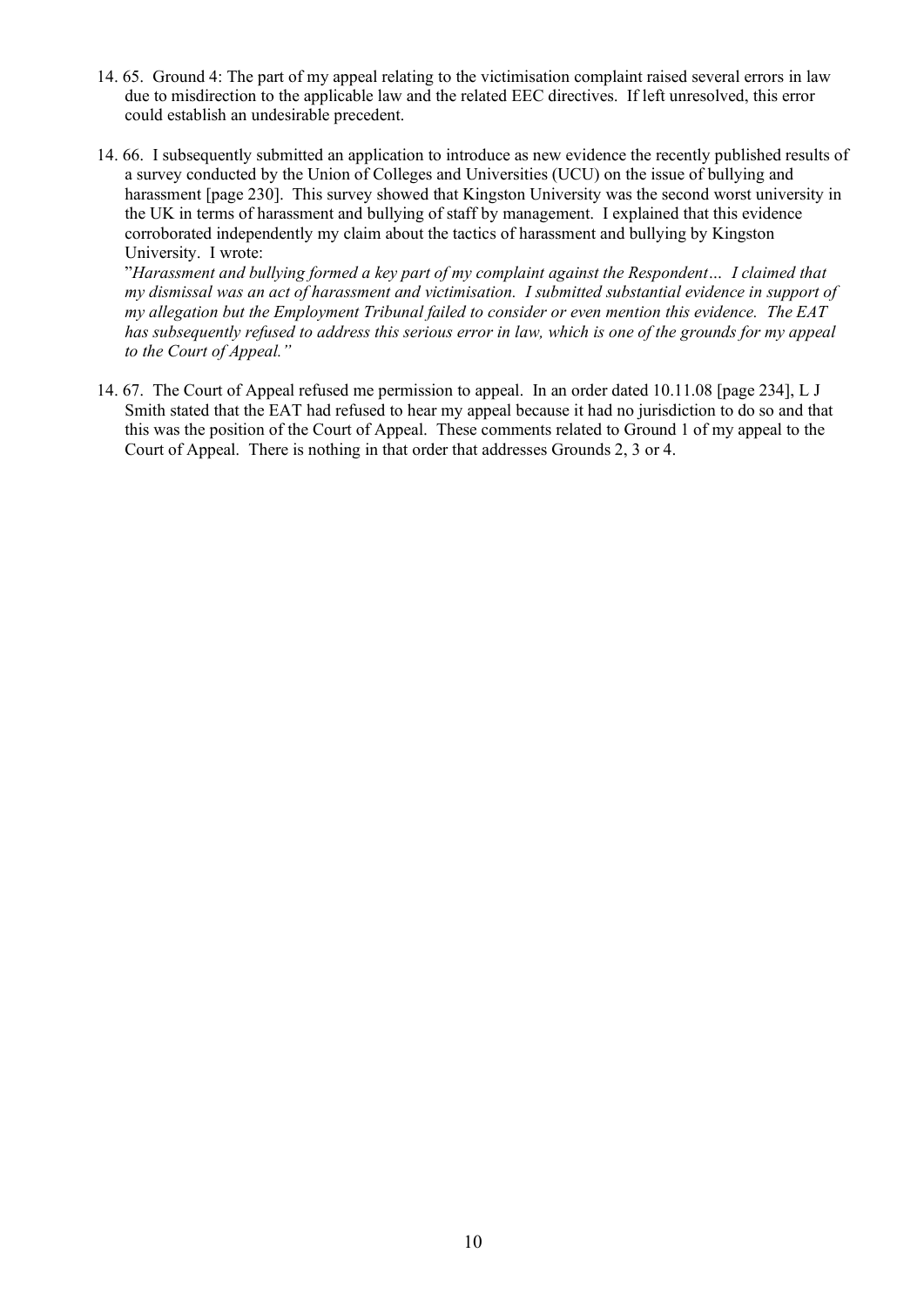- 14. 65. Ground 4: The part of my appeal relating to the victimisation complaint raised several errors in law due to misdirection to the applicable law and the related EEC directives. If left unresolved, this error could establish an undesirable precedent.
- 14. 66. I subsequently submitted an application to introduce as new evidence the recently published results of a survey conducted by the Union of Colleges and Universities (UCU) on the issue of bullying and harassment [page 230]. This survey showed that Kingston University was the second worst university in the UK in terms of harassment and bullying of staff by management. I explained that this evidence corroborated independently my claim about the tactics of harassment and bullying by Kingston University. I wrote:

"*Harassment and bullying formed a key part of my complaint against the Respondent… I claimed that my dismissal was an act of harassment and victimisation. I submitted substantial evidence in support of my allegation but the Employment Tribunal failed to consider or even mention this evidence. The EAT* has subsequently refused to address this serious error in law, which is one of the grounds for my appeal *to the Court of Appeal."*

14. 67. The Court of Appeal refused me permission to appeal. In an order dated 10.11.08 [page 234], L J Smith stated that the EAT had refused to hear my appeal because it had no jurisdiction to do so and that this was the position of the Court of Appeal. These comments related to Ground 1 of my appeal to the Court of Appeal. There is nothing in that order that addresses Grounds 2, 3 or 4.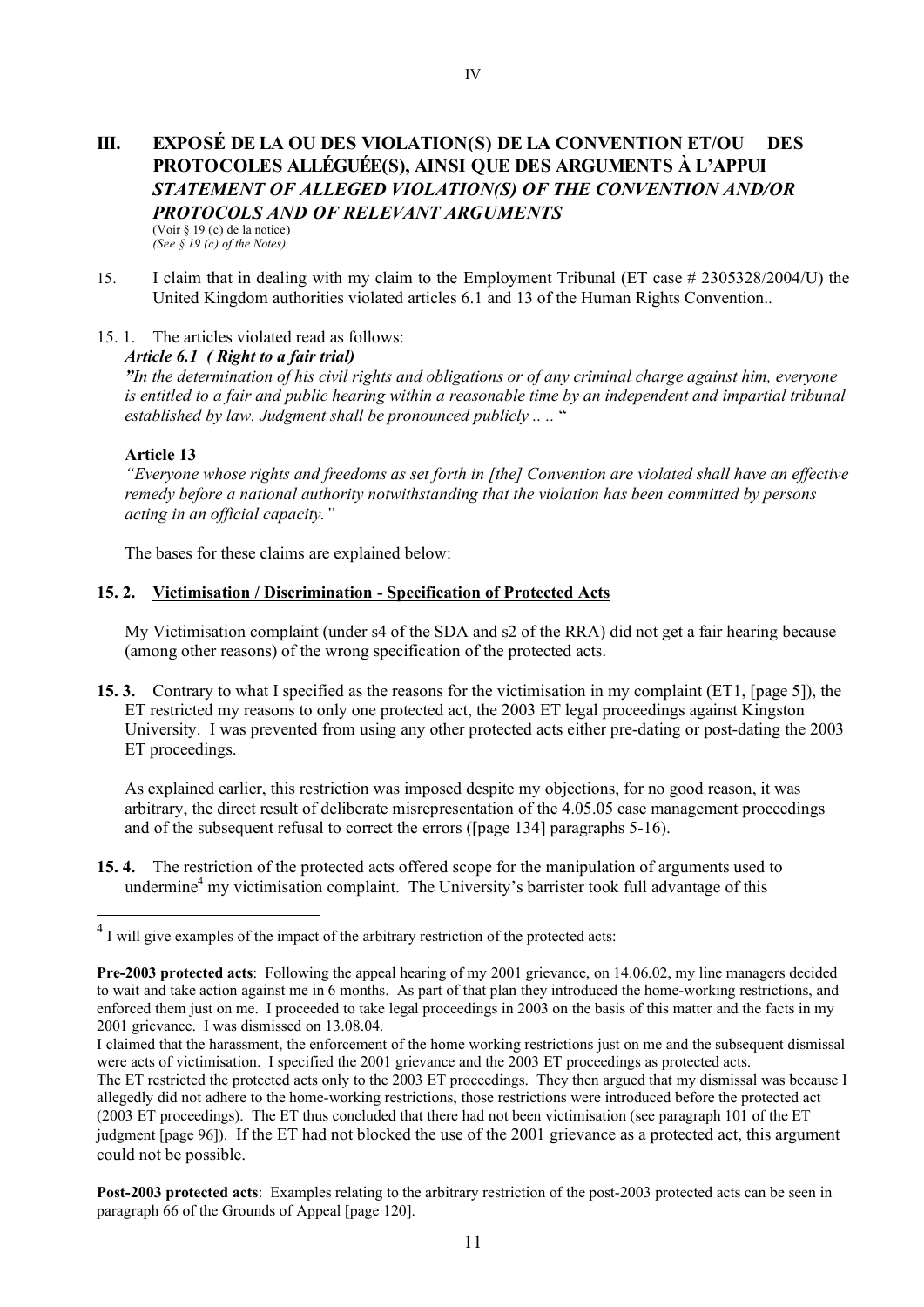### **III. EXPOSÉ DE LA OU DES VIOLATION(S) DE LA CONVENTION ET/OU DES PROTOCOLES ALLÉGUÉE(S), AINSI QUE DES ARGUMENTS À L'APPUI** *STATEMENT OF ALLEGED VIOLATION(S) OF THE CONVENTION AND/OR PROTOCOLS AND OF RELEVANT ARGUMENTS* (Voir § 19 (c) de la notice) *(See § 19 (c) of the Notes)*

- 15. I claim that in dealing with my claim to the Employment Tribunal (ET case # 2305328/2004/U) the United Kingdom authorities violated articles 6.1 and 13 of the Human Rights Convention..
- 15. 1. The articles violated read as follows:

#### *Article 6.1 ( Right to a fair trial)*

"In the determination of his civil rights and obligations or of any criminal charge against him, everyone is entitled to a fair and public hearing within a reasonable time by an independent and impartial tribunal *established by law. Judgment shall be pronounced publicly .. ..* "

#### **Article 13**

*"Everyone whose rights and freedoms as set forth in [the] Convention are violated shall have an effective remedy before a national authority notwithstanding that the violation has been committed by persons acting in an official capacity."*

The bases for these claims are explained below:

#### **15. 2. Victimisation / Discrimination - Specification of Protected Acts**

My Victimisation complaint (under s4 of the SDA and s2 of the RRA) did not get a fair hearing because (among other reasons) of the wrong specification of the protected acts.

**15. 3.** Contrary to what I specified as the reasons for the victimisation in my complaint (ET1, [page 5]), the ET restricted my reasons to only one protected act, the 2003 ET legal proceedings against Kingston University. I was prevented from using any other protected acts either pre-dating or post-dating the 2003 ET proceedings.

As explained earlier, this restriction was imposed despite my objections, for no good reason, it was arbitrary, the direct result of deliberate misrepresentation of the 4.05.05 case management proceedings and of the subsequent refusal to correct the errors ([page 134] paragraphs 5-16).

**15. 4.** The restriction of the protected acts offered scope for the manipulation of arguments used to undermine<sup>4</sup> my victimisation complaint. The University's barrister took full advantage of this

**Post-2003 protected acts**: Examples relating to the arbitrary restriction of the post-2003 protected acts can be seen in paragraph 66 of the Grounds of Appeal [page 120].

 $4$  I will give examples of the impact of the arbitrary restriction of the protected acts:

**Pre-2003 protected acts**: Following the appeal hearing of my 2001 grievance, on 14.06.02, my line managers decided to wait and take action against me in 6 months. As part of that plan they introduced the home-working restrictions, and enforced them just on me. I proceeded to take legal proceedings in 2003 on the basis of this matter and the facts in my 2001 grievance. I was dismissed on 13.08.04.

I claimed that the harassment, the enforcement of the home working restrictions just on me and the subsequent dismissal were acts of victimisation. I specified the 2001 grievance and the 2003 ET proceedings as protected acts. The ET restricted the protected acts only to the 2003 ET proceedings. They then argued that my dismissal was because I allegedly did not adhere to the home-working restrictions, those restrictions were introduced before the protected act (2003 ET proceedings). The ET thus concluded that there had not been victimisation (see paragraph 101 of the ET

judgment [page 96]). If the ET had not blocked the use of the 2001 grievance as a protected act, this argument could not be possible.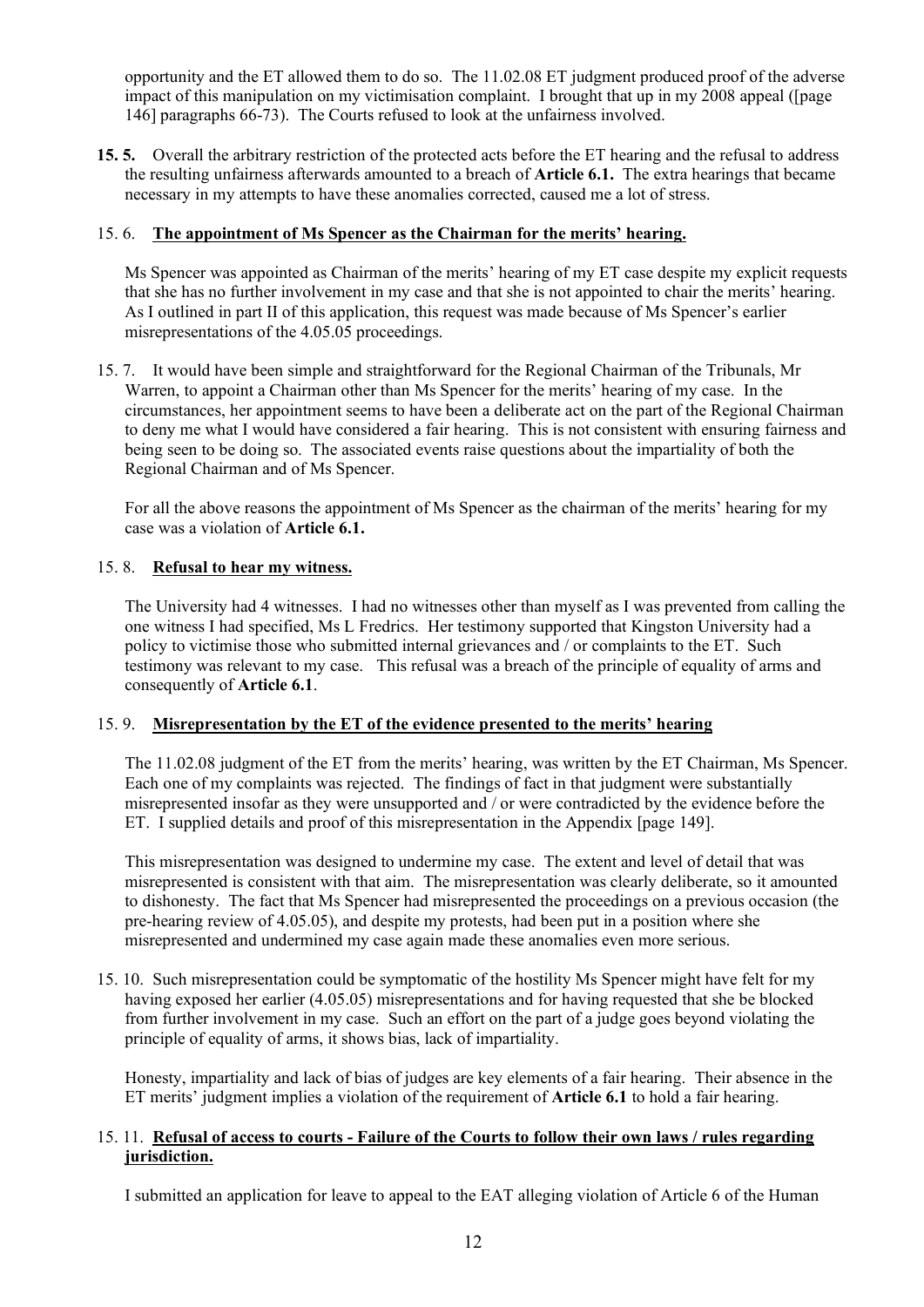opportunity and the ET allowed them to do so. The 11.02.08 ET judgment produced proof of the adverse impact of this manipulation on my victimisation complaint. I brought that up in my  $2008$  appeal ([page] 146] paragraphs 66-73). The Courts refused to look at the unfairness involved.

**15. 5.** Overall the arbitrary restriction of the protected acts before the ET hearing and the refusal to address the resulting unfairness afterwards amounted to a breach of **Article 6.1.** The extra hearings that became necessary in my attempts to have these anomalies corrected, caused me a lot of stress.

## 15. 6. **The appointment of Ms Spencer as the Chairman for the merits' hearing.**

Ms Spencer was appointed as Chairman of the merits' hearing of my ET case despite my explicit requests that she has no further involvement in my case and that she is not appointed to chair the merits' hearing. As I outlined in part II of this application, this request was made because of Ms Spencer's earlier misrepresentations of the 4.05.05 proceedings.

15. 7. It would have been simple and straightforward for the Regional Chairman of the Tribunals, Mr Warren, to appoint a Chairman other than Ms Spencer for the merits' hearing of my case. In the circumstances, her appointment seems to have been a deliberate act on the part of the Regional Chairman to deny me what I would have considered a fair hearing. This is not consistent with ensuring fairness and being seen to be doing so. The associated events raise questions about the impartiality of both the Regional Chairman and of Ms Spencer.

For all the above reasons the appointment of Ms Spencer as the chairman of the merits' hearing for my case was a violation of **Article 6.1.**

## 15. 8. **Refusal to hear my witness.**

The University had 4 witnesses. I had no witnesses other than myself as I was prevented from calling the one witness I had specified, Ms L Fredrics. Her testimony supported that Kingston University had a policy to victimise those who submitted internal grievances and / or complaints to the ET. Such testimony was relevant to my case. This refusal was a breach of the principle of equality of arms and consequently of **Article 6.1**.

## 15. 9. **Misrepresentation by the ET of the evidence presented to the merits' hearing**

The 11.02.08 judgment of the ET from the merits' hearing, was written by the ET Chairman, Ms Spencer. Each one of my complaints was rejected. The findings of fact in that judgment were substantially misrepresented insofar as they were unsupported and / or were contradicted by the evidence before the ET. I supplied details and proof of this misrepresentation in the Appendix [page 149].

This misrepresentation was designed to undermine my case. The extent and level of detail that was misrepresented is consistent with that aim. The misrepresentation was clearly deliberate, so it amounted to dishonesty. The fact that Ms Spencer had misrepresented the proceedings on a previous occasion (the pre-hearing review of 4.05.05), and despite my protests, had been put in a position where she misrepresented and undermined my case again made these anomalies even more serious.

15. 10. Such misrepresentation could be symptomatic of the hostility Ms Spencer might have felt for my having exposed her earlier (4.05.05) misrepresentations and for having requested that she be blocked from further involvement in my case. Such an effort on the part of a judge goes beyond violating the principle of equality of arms, it shows bias, lack of impartiality.

Honesty, impartiality and lack of bias of judges are key elements of a fair hearing. Their absence in the ET merits' judgment implies a violation of the requirement of **Article 6.1** to hold a fair hearing.

### 15.11. Refusal of access to courts - Failure of the Courts to follow their own laws / rules regarding **jurisdiction.**

I submitted an application for leave to appeal to the EAT alleging violation of Article 6 of the Human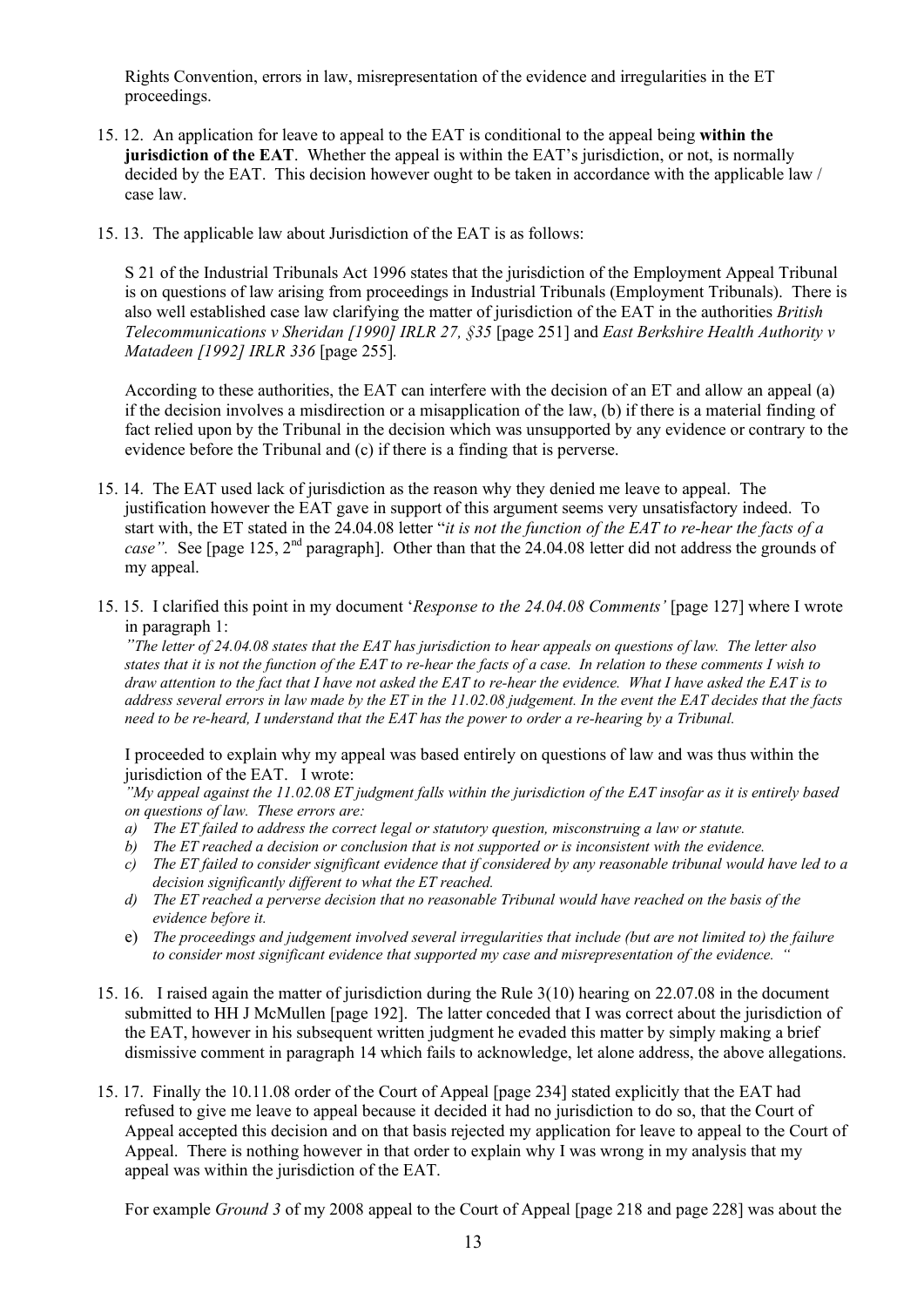Rights Convention, errors in law, misrepresentation of the evidence and irregularities in the ET proceedings.

- 15. 12. An application for leave to appeal to the EAT is conditional to the appeal being **within the jurisdiction of the EAT**. Whether the appeal is within the EAT's jurisdiction, or not, is normally decided by the EAT. This decision however ought to be taken in accordance with the applicable law / case law.
- 15. 13. The applicable law about Jurisdiction of the EAT is as follows:

S 21 of the Industrial Tribunals Act 1996 states that the jurisdiction of the Employment Appeal Tribunal is on questions of law arising from proceedings in Industrial Tribunals (Employment Tribunals). There is also well established case law clarifying the matter of jurisdiction of the EAT in the authorities *British Telecommunications v Sheridan [1990] IRLR 27, §35* [page 251] and *East Berkshire Health Authority v Matadeen [1992] IRLR 336* [page 255]*.*

According to these authorities, the EAT can interfere with the decision of an ET and allow an appeal (a) if the decision involves a misdirection or a misapplication of the law, (b) if there is a material finding of fact relied upon by the Tribunal in the decision which was unsupported by any evidence or contrary to the evidence before the Tribunal and (c) if there is a finding that is perverse.

- 15. 14. The EAT used lack of jurisdiction as the reason why they denied me leave to appeal. The justification however the EAT gave in support of this argument seems very unsatisfactory indeed. To start with, the ET stated in the 24.04.08 letter "*it is not the function of the EAT to re-hear the facts of a case".* See [page 125, 2<sup>nd</sup> paragraph]. Other than that the 24.04.08 letter did not address the grounds of my appeal.
- 15. 15. I clarified this point in my document '*Response to the 24.04.08 Comments'* [page 127] where I wrote in paragraph 1:

"The letter of  $24.04.08$  states that the EAT has jurisdiction to hear appeals on questions of law. The letter also states that it is not the function of the EAT to re-hear the facts of a case. In relation to these comments I wish to draw attention to the fact that I have not asked the EAT to re-hear the evidence. What I have asked the EAT is to address several errors in law made by the ET in the  $11.02.08$  judgement. In the event the EAT decides that the facts *need to be re-heard, I understand that the EAT has the power to order a re-hearing by a Tribunal.*

I proceeded to explain why my appeal was based entirely on questions of law and was thus within the jurisdiction of the EAT. I wrote:

 $\mu$ <sup>N</sup>My appeal against the 11.02.08 ET judgment falls within the jurisdiction of the EAT insofar as it is entirely based *on questions of law. These errors are:*

- *a) The ET failed to address the correct legal or statutory question, misconstruing a law or statute.*
- *b) The ET reached a decision or conclusion that is not supported or is inconsistent with the evidence.*
- *c) The ET failed to consider significant evidence that if considered by any reasonable tribunal would have led to a decision significantly different to what the ET reached.*
- *d) The ET reached a perverse decision that no reasonable Tribunal would have reached on the basis of the evidence before it.*
- e) *The proceedings and judgement involved several irregularities that include (but are not limited to) the failure to consider most significant evidence that supported my case and misrepresentation of the evidence. "*
- 15. 16. I raised again the matter of jurisdiction during the Rule 3(10) hearing on 22.07.08 in the document submitted to HH J McMullen [page 192]. The latter conceded that I was correct about the jurisdiction of the EAT, however in his subsequent written judgment he evaded this matter by simply making a brief dismissive comment in paragraph 14 which fails to acknowledge, let alone address, the above allegations.
- 15. 17. Finally the 10.11.08 order of the Court of Appeal [page 234] stated explicitly that the EAT had refused to give me leave to appeal because it decided it had no jurisdiction to do so, that the Court of Appeal accepted this decision and on that basis rejected my application for leave to appeal to the Court of Appeal. There is nothing however in that order to explain why I was wrong in my analysis that my appeal was within the jurisdiction of the EAT.

For example *Ground 3* of my 2008 appeal to the Court of Appeal [page 218 and page 228] was about the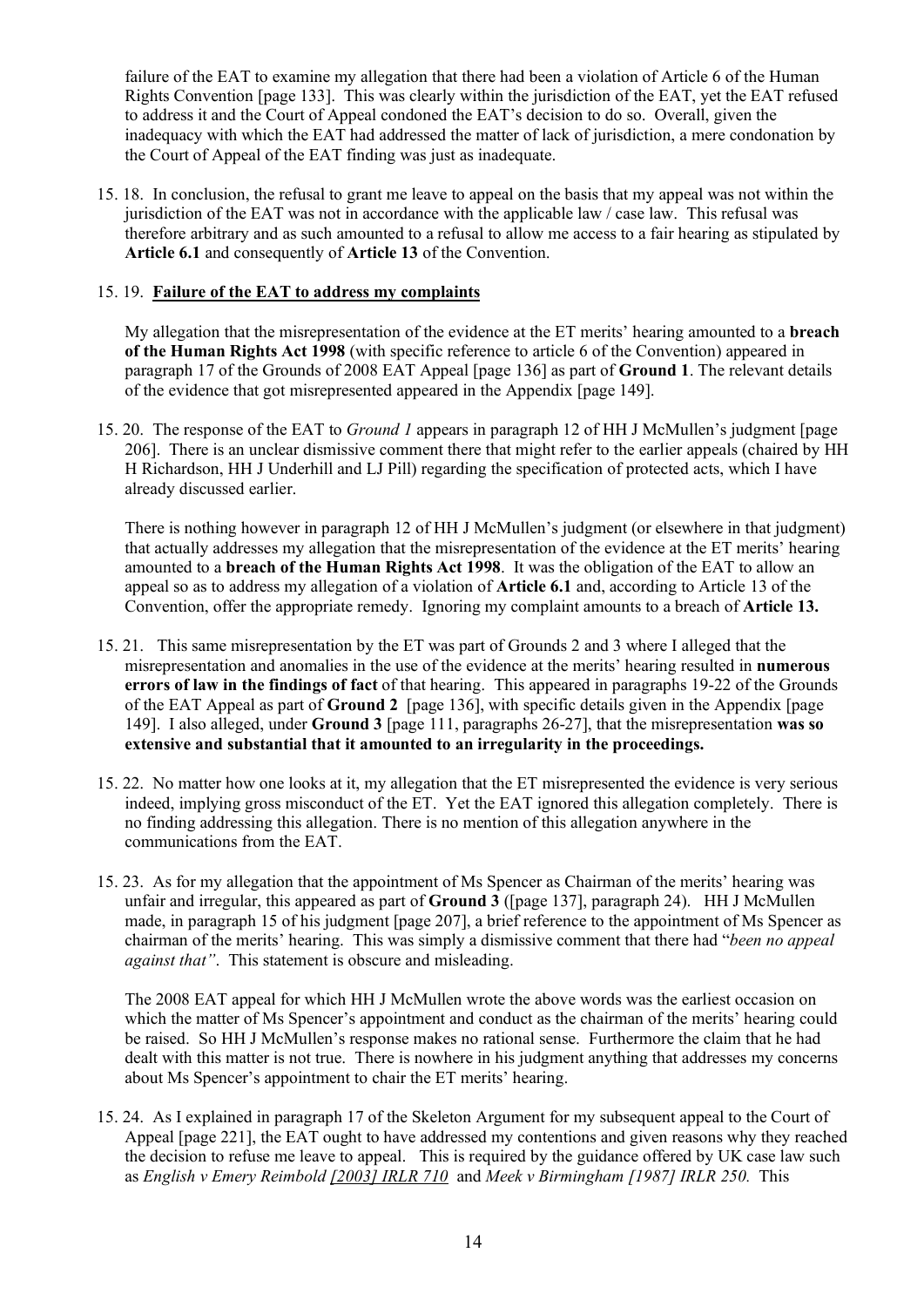failure of the EAT to examine my allegation that there had been a violation of Article 6 of the Human Rights Convention [page 133]. This was clearly within the jurisdiction of the EAT, yet the EAT refused to address it and the Court of Appeal condoned the EAT's decision to do so. Overall, given the inadequacy with which the EAT had addressed the matter of lack of jurisdiction, a mere condonation by the Court of Appeal of the EAT finding was just as inadequate.

15. 18. In conclusion, the refusal to grant me leave to appeal on the basis that my appeal was not within the jurisdiction of the EAT was not in accordance with the applicable law / case law. This refusal was therefore arbitrary and as such amounted to a refusal to allow me access to a fair hearing as stipulated by **Article 6.1** and consequently of **Article 13** of the Convention.

### 15. 19. **Failure of the EAT to address my complaints**

My allegation that the misrepresentation of the evidence at the ET merits' hearing amounted to a **breach of the Human Rights Act 1998** (with specific reference to article 6 of the Convention) appeared in paragraph 17 of the Grounds of 2008 EAT Appeal [page 136] as part of **Ground 1**. The relevant details of the evidence that got misrepresented appeared in the Appendix [page 149].

15. 20. The response of the EAT to *Ground 1* appears in paragraph 12 of HH J McMullen's judgment [page 206]. There is an unclear dismissive comment there that might refer to the earlier appeals (chaired by HH H Richardson, HH J Underhill and LJ Pill) regarding the specification of protected acts, which I have already discussed earlier.

There is nothing however in paragraph 12 of HH J McMullen's judgment (or elsewhere in that judgment) that actually addresses my allegation that the misrepresentation of the evidence at the ET merits' hearing amounted to a **breach of the Human Rights Act 1998**. It was the obligation of the EAT to allow an appeal so as to address my allegation of a violation of **Article 6.1** and, according to Article 13 of the Convention, offer the appropriate remedy. Ignoring my complaint amounts to a breach of **Article 13.**

- 15. 21. This same misrepresentation by the ET was part of Grounds 2 and 3 where I alleged that the misrepresentation and anomalies in the use of the evidence at the merits' hearing resulted in **numerous errors of law in the findings of fact** of that hearing. This appeared in paragraphs 19-22 of the Grounds of the EAT Appeal as part of **Ground 2** [page 136], with specific details given in the Appendix [page 149]. I also alleged, under **Ground 3** [page 111, paragraphs 26-27], that the misrepresentation **was so extensive and substantial that it amounted to an irregularity in the proceedings.**
- 15. 22. No matter how one looks at it, my allegation that the ET misrepresented the evidence is very serious indeed, implying gross misconduct of the ET. Yet the EAT ignored this allegation completely. There is no finding addressing this allegation. There is no mention of this allegation anywhere in the communications from the EAT.
- 15. 23. As for my allegation that the appointment of Ms Spencer as Chairman of the merits' hearing was unfair and irregular, this appeared as part of **Ground 3** ([page 137], paragraph 24). HH J McMullen made, in paragraph 15 of his judgment [page 207], a brief reference to the appointment of Ms Spencer as chairman of the merits' hearing. This was simply a dismissive comment that there had "*been no appeal against that"*. This statement is obscure and misleading.

The 2008 EAT appeal for which HH J McMullen wrote the above words was the earliest occasion on which the matter of Ms Spencer's appointment and conduct as the chairman of the merits' hearing could be raised. So HH J McMullen's response makes no rational sense. Furthermore the claim that he had dealt with this matter is not true. There is nowhere in his judgment anything that addresses my concerns about Ms Spencer's appointment to chair the ET merits' hearing.

15. 24. As I explained in paragraph 17 of the Skeleton Argument for my subsequent appeal to the Court of Appeal [page 221], the EAT ought to have addressed my contentions and given reasons why they reached the decision to refuse me leave to appeal. This is required by the guidance offered by UK case law such as *English v Emery Reimbold [2003] IRLR 710* and *Meek v Birmingham [1987] IRLR 250.* This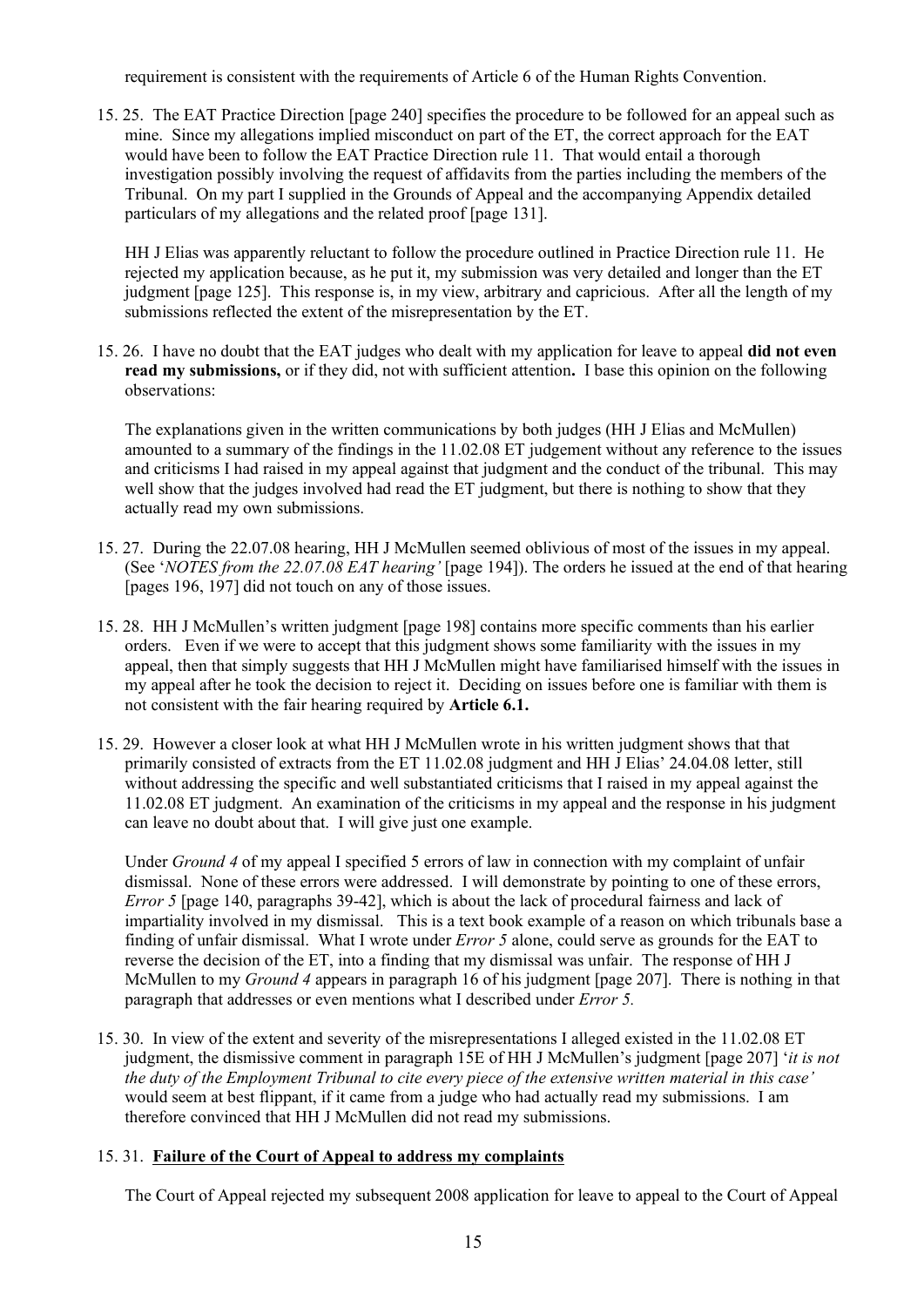requirement is consistent with the requirements of Article 6 of the Human Rights Convention.

15. 25. The EAT Practice Direction [page 240] specifies the procedure to be followed for an appeal such as mine. Since my allegations implied misconduct on part of the ET, the correct approach for the EAT would have been to follow the EAT Practice Direction rule 11. That would entail a thorough investigation possibly involving the request of affidavits from the parties including the members of the Tribunal. On my part I supplied in the Grounds of Appeal and the accompanying Appendix detailed particulars of my allegations and the related proof [page 131].

HH J Elias was apparently reluctant to follow the procedure outlined in Practice Direction rule 11. He rejected my application because, as he put it, my submission was very detailed and longer than the ET judgment [page 125]. This response is, in my view, arbitrary and capricious. After all the length of my submissions reflected the extent of the misrepresentation by the ET.

15. 26. I have no doubt that the EAT judges who dealt with my application for leave to appeal **did not even read my submissions,** or if they did, not with sufficient attention**.** I base this opinion on the following observations:

The explanations given in the written communications by both judges (HH J Elias and McMullen) amounted to a summary of the findings in the 11.02.08 ET judgement without any reference to the issues and criticisms I had raised in my appeal against that judgment and the conduct of the tribunal. This may well show that the judges involved had read the ET judgment, but there is nothing to show that they actually read my own submissions.

- 15. 27. During the 22.07.08 hearing, HH J McMullen seemed oblivious of most of the issues in my appeal. (See '*NOTES from the 22.07.08 EAT hearing'* [page 194]). The orders he issued at the end of that hearing [pages 196, 197] did not touch on any of those issues.
- 15. 28. HH J McMullen's written judgment [page 198] contains more specific comments than his earlier orders. Even if we were to accept that this judgment shows some familiarity with the issues in my appeal, then that simply suggests that HH J McMullen might have familiarised himself with the issues in my appeal after he took the decision to reject it. Deciding on issues before one is familiar with them is not consistent with the fair hearing required by **Article 6.1.**
- 15. 29. However a closer look at what HH J McMullen wrote in his written judgment shows that that primarily consisted of extracts from the ET 11.02.08 judgment and HH J Elias' 24.04.08 letter, still without addressing the specific and well substantiated criticisms that I raised in my appeal against the 11.02.08 ET judgment. An examination of the criticisms in my appeal and the response in his judgment can leave no doubt about that. I will give just one example.

Under *Ground 4* of my appeal I specified 5 errors of law in connection with my complaint of unfair dismissal. None of these errors were addressed. I will demonstrate by pointing to one of these errors, *Error 5* [page 140, paragraphs 39-42], which is about the lack of procedural fairness and lack of impartiality involved in my dismissal. This is a text book example of a reason on which tribunals base a finding of unfair dismissal. What I wrote under *Error 5* alone, could serve as grounds for the EAT to reverse the decision of the ET, into a finding that my dismissal was unfair. The response of HH J McMullen to my *Ground 4* appears in paragraph 16 of his judgment [page 207]. There is nothing in that paragraph that addresses or even mentions what I described under *Error 5.*

15. 30. In view of the extent and severity of the misrepresentations I alleged existed in the 11.02.08 ET judgment, the dismissive comment in paragraph 15E of HH J McMullen's judgment [page 207] '*it is not* the duty of the Employment Tribunal to cite every piece of the extensive written material in this case' would seem at best flippant, if it came from a judge who had actually read my submissions. I am therefore convinced that HH J McMullen did not read my submissions.

## 15. 31. **Failure of the Court of Appeal to address my complaints**

The Court of Appeal rejected my subsequent 2008 application for leave to appeal to the Court of Appeal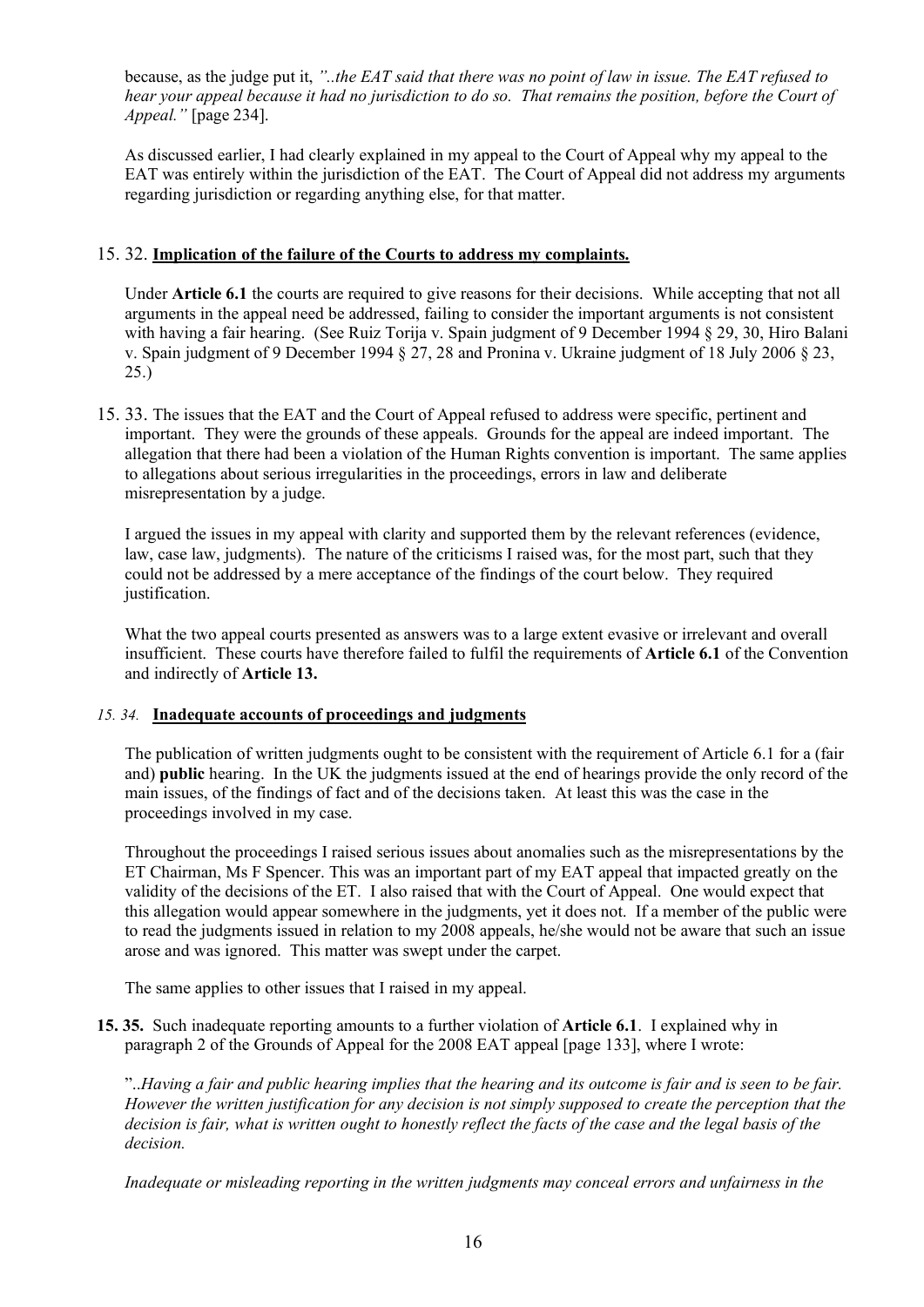because, as the judge put it, *"..the EAT said that there was no point of law in issue. The EAT refused to* hear your appeal because it had no jurisdiction to do so. That remains the position, before the Court of *Appeal."* [page 234].

As discussed earlier, I had clearly explained in my appeal to the Court of Appeal why my appeal to the EAT was entirely within the jurisdiction of the EAT. The Court of Appeal did not address my arguments regarding jurisdiction or regarding anything else, for that matter.

## 15. 32. **Implication of the failure of the Courts to address my complaints.**

Under **Article 6.1** the courts are required to give reasons for their decisions. While accepting that not all arguments in the appeal need be addressed, failing to consider the important arguments is not consistent with having a fair hearing. (See Ruiz Torija v. Spain judgment of 9 December 1994 § 29, 30, Hiro Balani v. Spain judgment of 9 December 1994 § 27, 28 and Pronina v. Ukraine judgment of 18 July 2006 § 23, 25.)

15. 33. The issues that the EAT and the Court of Appeal refused to address were specific, pertinent and important. They were the grounds of these appeals. Grounds for the appeal are indeed important. The allegation that there had been a violation of the Human Rights convention is important. The same applies to allegations about serious irregularities in the proceedings, errors in law and deliberate misrepresentation by a judge.

I argued the issues in my appeal with clarity and supported them by the relevant references (evidence, law, case law, judgments). The nature of the criticisms I raised was, for the most part, such that they could not be addressed by a mere acceptance of the findings of the court below. They required justification.

What the two appeal courts presented as answers was to a large extent evasive or irrelevant and overall insufficient. These courts have therefore failed to fulfil the requirements of **Article 6.1** of the Convention and indirectly of **Article 13.**

#### *15. 34.* **Inadequate accounts of proceedings and judgments**

The publication of written judgments ought to be consistent with the requirement of Article 6.1 for a (fair and) **public** hearing. In the UK the judgments issued at the end of hearings provide the only record of the main issues, of the findings of fact and of the decisions taken. At least this was the case in the proceedings involved in my case.

Throughout the proceedings I raised serious issues about anomalies such as the misrepresentations by the ET Chairman, Ms F Spencer. This was an important part of my EAT appeal that impacted greatly on the validity of the decisions of the ET. I also raised that with the Court of Appeal. One would expect that this allegation would appear somewhere in the judgments, yet it does not. If a member of the public were to read the judgments issued in relation to my 2008 appeals, he/she would not be aware that such an issue arose and was ignored. This matter was swept under the carpet.

The same applies to other issues that I raised in my appeal.

**15. 35.** Such inadequate reporting amounts to a further violation of **Article 6.1**. I explained why in paragraph 2 of the Grounds of Appeal for the 2008 EAT appeal [page 133], where I wrote:

"...Having a fair and public hearing implies that the hearing and its outcome is fair and is seen to be fair. However the written justification for any decision is not simply supposed to create the perception that the decision is fair, what is written ought to honestly reflect the facts of the case and the legal basis of the *decision.*

*Inadequate or misleading reporting in the written judgments may conceal errors and unfairness in the*